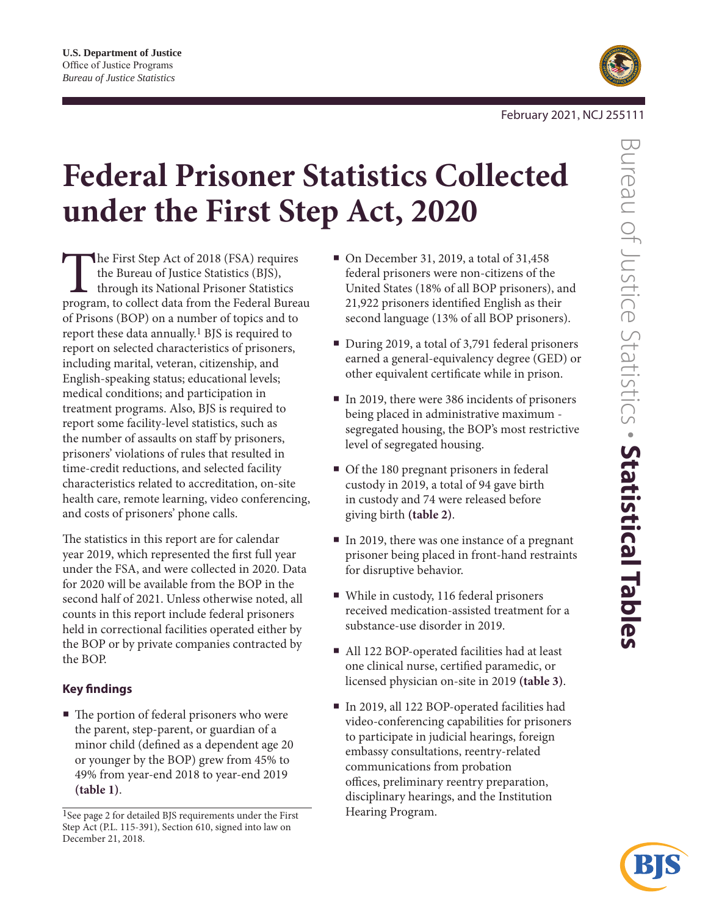

# **Federal Prisoner Statistics Collected under the First Step Act, 2020**

The First Step Act of 2018 (FSA) requires<br>the Bureau of Justice Statistics (BJS),<br>through its National Prisoner Statistics<br>program, to collect data from the Federal Bureau the Bureau of Justice Statistics (BJS), through its National Prisoner Statistics of Prisons (BOP) on a number of topics and to report these data annually.1 BJS is required to report on selected characteristics of prisoners, including marital, veteran, citizenship, and English-speaking status; educational levels; medical conditions; and participation in treatment programs. Also, BJS is required to report some facility-level statistics, such as the number of assaults on staff by prisoners, prisoners' violations of rules that resulted in time-credit reductions, and selected facility characteristics related to accreditation, on-site health care, remote learning, video conferencing, and costs of prisoners' phone calls.

The statistics in this report are for calendar year 2019, which represented the first full year under the FSA, and were collected in 2020. Data for 2020 will be available from the BOP in the second half of 2021. Unless otherwise noted, all counts in this report include federal prisoners held in correctional facilities operated either by the BOP or by private companies contracted by the BOP.

## **Key findings**

■ The portion of federal prisoners who were the parent, step-parent, or guardian of a minor child (defined as a dependent age 20 or younger by the BOP) grew from 45% to 49% from year-end 2018 to year-end 2019 **(table 1)**.

- On December 31, 2019, a total of 31,458 federal prisoners were non-citizens of the United States (18% of all BOP prisoners), and 21,922 prisoners identified English as their second language (13% of all BOP prisoners).
- During 2019, a total of 3,791 federal prisoners earned a general-equivalency degree (GED) or other equivalent certificate while in prison.
- In 2019, there were 386 incidents of prisoners being placed in administrative maximum segregated housing, the BOP's most restrictive level of segregated housing.
- Of the 180 pregnant prisoners in federal custody in 2019, a total of 94 gave birth in custody and 74 were released before giving birth **(table 2)**.
- In 2019, there was one instance of a pregnant prisoner being placed in front-hand restraints for disruptive behavior.
- While in custody, 116 federal prisoners received medication-assisted treatment for a substance-use disorder in 2019.
- All 122 BOP-operated facilities had at least one clinical nurse, certified paramedic, or licensed physician on-site in 2019 **(table 3)**.
- In 2019, all 122 BOP-operated facilities had video-conferencing capabilities for prisoners to participate in judicial hearings, foreign embassy consultations, reentry-related communications from probation offices, preliminary reentry preparation, disciplinary hearings, and the Institution Hearing Program.



<sup>1</sup>See page 2 for detailed BJS requirements under the First Step Act (P.L. 115-391), Section 610, signed into law on December 21, 2018.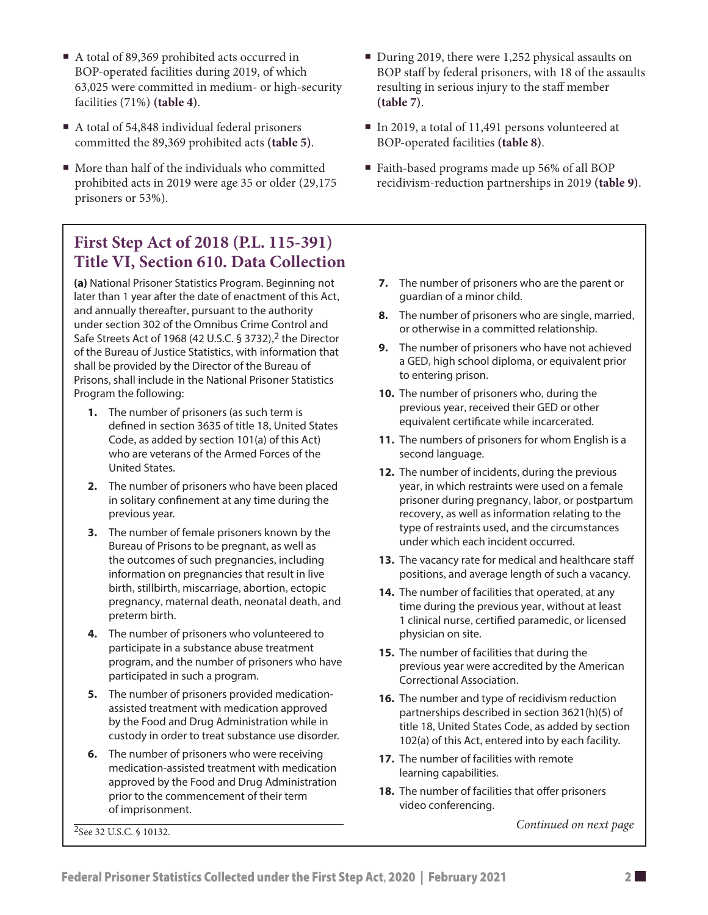- A total of 54,848 individual federal prisoners committed the 89,369 prohibited acts **(table 5)**.
- $\blacksquare$  More than half of the individuals who committed prohibited acts in 2019 were age 35 or older (29,175 prisoners or 53%).

## **First Step Act of 2018 (P.L. 115-391) Title VI, Section 610. Data Collection**

**(a)** National Prisoner Statistics Program. Beginning not later than 1 year after the date of enactment of this Act, and annually thereafter, pursuant to the authority under section 302 of the Omnibus Crime Control and Safe Streets Act of 1968 (42 U.S.C. § 3732), 2 the Director of the Bureau of Justice Statistics, with information that shall be provided by the Director of the Bureau of Prisons, shall include in the National Prisoner Statistics Program the following:

- **1.** The number of prisoners (as such term is defined in section 3635 of title 18, United States Code, as added by section 101(a) of this Act) who are veterans of the Armed Forces of the United States.
- **2.** The number of prisoners who have been placed in solitary confinement at any time during the previous year.
- **3.** The number of female prisoners known by the Bureau of Prisons to be pregnant, as well as the outcomes of such pregnancies, including information on pregnancies that result in live birth, stillbirth, miscarriage, abortion, ectopic pregnancy, maternal death, neonatal death, and preterm birth.
- **4.** The number of prisoners who volunteered to participate in a substance abuse treatment program, and the number of prisoners who have participated in such a program.
- **5.** The number of prisoners provided medicationassisted treatment with medication approved by the Food and Drug Administration while in custody in order to treat substance use disorder.
- **6.** The number of prisoners who were receiving medication-assisted treatment with medication approved by the Food and Drug Administration prior to the commencement of their term of imprisonment.

2See 32 U.S.C. § 10132.

- During 2019, there were 1,252 physical assaults on BOP staff by federal prisoners, with 18 of the assaults resulting in serious injury to the staff member **(table 7)**.
- In 2019, a total of 11,491 persons volunteered at BOP-operated facilities **(table 8)**.
- Faith-based programs made up 56% of all BOP recidivism-reduction partnerships in 2019 **(table 9)**.
	- **7.** The number of prisoners who are the parent or guardian of a minor child.
	- **8.** The number of prisoners who are single, married, or otherwise in a committed relationship.
	- **9.** The number of prisoners who have not achieved a GED, high school diploma, or equivalent prior to entering prison.
	- **10.** The number of prisoners who, during the previous year, received their GED or other equivalent certificate while incarcerated.
	- **11.** The numbers of prisoners for whom English is a second language.
	- **12.** The number of incidents, during the previous year, in which restraints were used on a female prisoner during pregnancy, labor, or postpartum recovery, as well as information relating to the type of restraints used, and the circumstances under which each incident occurred.
	- **13.** The vacancy rate for medical and healthcare staff positions, and average length of such a vacancy.
	- **14.** The number of facilities that operated, at any time during the previous year, without at least 1 clinical nurse, certified paramedic, or licensed physician on site.
	- **15.** The number of facilities that during the previous year were accredited by the American Correctional Association.
	- **16.** The number and type of recidivism reduction partnerships described in section 3621(h)(5) of title 18, United States Code, as added by section 102(a) of this Act, entered into by each facility.
	- **17.** The number of facilities with remote learning capabilities.
	- **18.** The number of facilities that offer prisoners video conferencing.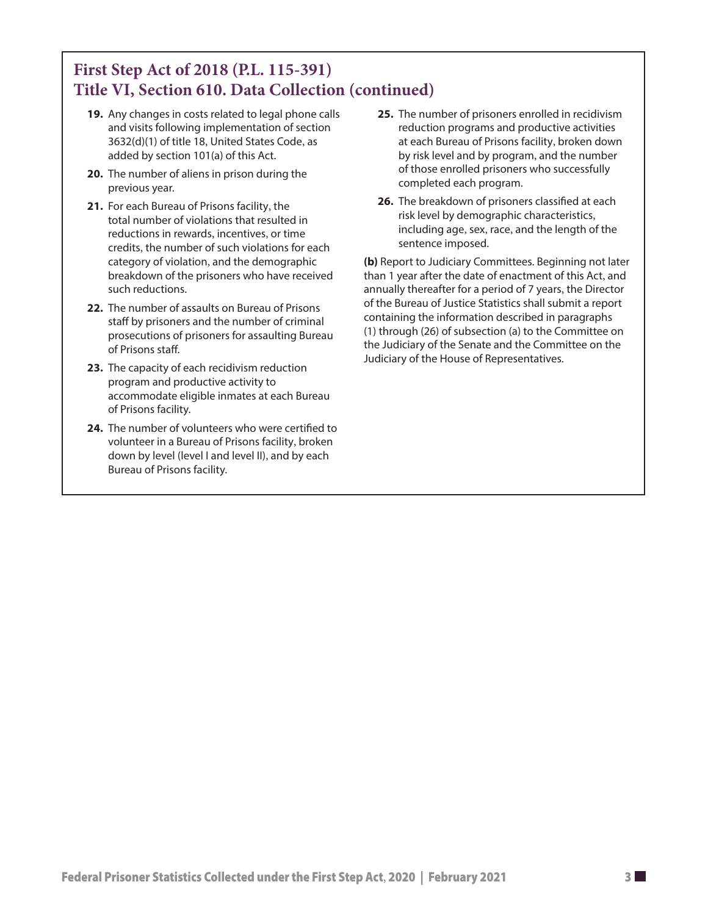# **First Step Act of 2018 (P.L. 115-391) Title VI, Section 610. Data Collection (continued)**

- **19.** Any changes in costs related to legal phone calls and visits following implementation of section 3632(d)(1) of title 18, United States Code, as added by section 101(a) of this Act.
- **20.** The number of aliens in prison during the previous year.
- **21.** For each Bureau of Prisons facility, the total number of violations that resulted in reductions in rewards, incentives, or time credits, the number of such violations for each category of violation, and the demographic breakdown of the prisoners who have received such reductions.
- **22.** The number of assaults on Bureau of Prisons staff by prisoners and the number of criminal prosecutions of prisoners for assaulting Bureau of Prisons staff.
- **23.** The capacity of each recidivism reduction program and productive activity to accommodate eligible inmates at each Bureau of Prisons facility.
- **24.** The number of volunteers who were certified to volunteer in a Bureau of Prisons facility, broken down by level (level I and level II), and by each Bureau of Prisons facility.
- **25.** The number of prisoners enrolled in recidivism reduction programs and productive activities at each Bureau of Prisons facility, broken down by risk level and by program, and the number of those enrolled prisoners who successfully completed each program.
- **26.** The breakdown of prisoners classified at each risk level by demographic characteristics, including age, sex, race, and the length of the sentence imposed.

**(b)** Report to Judiciary Committees. Beginning not later than 1 year after the date of enactment of this Act, and annually thereafter for a period of 7 years, the Director of the Bureau of Justice Statistics shall submit a report containing the information described in paragraphs (1) through (26) of subsection (a) to the Committee on the Judiciary of the Senate and the Committee on the Judiciary of the House of Representatives.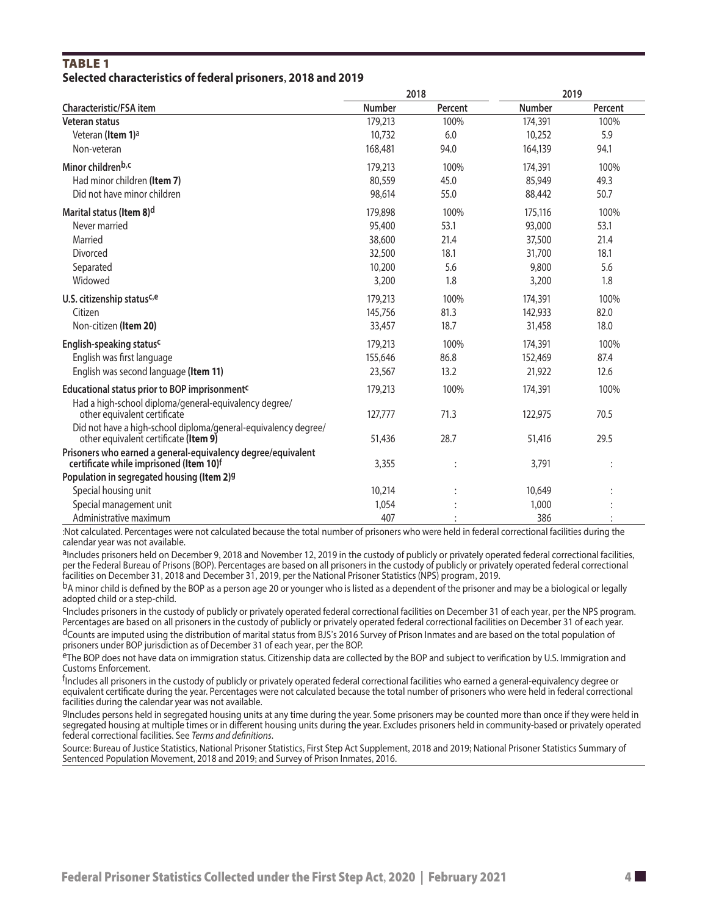#### **TABLE 1 Selected characteristics of federal prisoners, 2018 and 2019**

|                                                                                                         | 2018          |                | 2019          |         |
|---------------------------------------------------------------------------------------------------------|---------------|----------------|---------------|---------|
| Characteristic/FSA item                                                                                 | <b>Number</b> | Percent        | <b>Number</b> | Percent |
| Veteran status                                                                                          | 179,213       | 100%           | 174,391       | 100%    |
| Veteran (Item 1) <sup>a</sup>                                                                           | 10,732        | 6.0            | 10,252        | 5.9     |
| Non-veteran                                                                                             | 168,481       | 94.0           | 164,139       | 94.1    |
| Minor childrenb,c                                                                                       | 179,213       | 100%           | 174,391       | 100%    |
| Had minor children (Item 7)                                                                             | 80,559        | 45.0           | 85,949        | 49.3    |
| Did not have minor children                                                                             | 98,614        | 55.0           | 88,442        | 50.7    |
| Marital status (Item 8) <sup>d</sup>                                                                    | 179,898       | 100%           | 175,116       | 100%    |
| Never married                                                                                           | 95,400        | 53.1           | 93,000        | 53.1    |
| Married                                                                                                 | 38,600        | 21.4           | 37,500        | 21.4    |
| Divorced                                                                                                | 32,500        | 18.1           | 31,700        | 18.1    |
| Separated                                                                                               | 10,200        | 5.6            | 9,800         | 5.6     |
| Widowed                                                                                                 | 3,200         | 1.8            | 3,200         | 1.8     |
| U.S. citizenship statusc,e                                                                              | 179,213       | 100%           | 174,391       | 100%    |
| Citizen                                                                                                 | 145,756       | 81.3           | 142,933       | 82.0    |
| Non-citizen (Item 20)                                                                                   | 33,457        | 18.7           | 31,458        | 18.0    |
| English-speaking status <sup>c</sup>                                                                    | 179,213       | 100%           | 174,391       | 100%    |
| English was first language                                                                              | 155,646       | 86.8           | 152,469       | 87.4    |
| English was second language (Item 11)                                                                   | 23,567        | 13.2           | 21,922        | 12.6    |
| Educational status prior to BOP imprisonment <sup>c</sup>                                               | 179,213       | 100%           | 174,391       | 100%    |
| Had a high-school diploma/general-equivalency degree/<br>other equivalent certificate                   | 127,777       | 71.3           | 122,975       | 70.5    |
| Did not have a high-school diploma/general-equivalency degree/                                          |               |                |               |         |
| other equivalent certificate (Item 9)                                                                   | 51,436        | 28.7           | 51,416        | 29.5    |
| Prisoners who earned a general-equivalency degree/equivalent<br>certificate while imprisoned (Item 10)f | 3,355         | $\ddot{\cdot}$ | 3,791         |         |
| Population in segregated housing (Item 2)9                                                              |               |                |               |         |
| Special housing unit                                                                                    | 10,214        |                | 10,649        |         |
| Special management unit                                                                                 | 1,054         |                | 1,000         |         |
| Administrative maximum                                                                                  | 407           |                | 386           |         |

:Not calculated. Percentages were not calculated because the total number of prisoners who were held in federal correctional facilities during the calendar year was not available.

aIncludes prisoners held on December 9, 2018 and November 12, 2019 in the custody of publicly or privately operated federal correctional facilities, per the Federal Bureau of Prisons (BOP). Percentages are based on all prisoners in the custody of publicly or privately operated federal correctional facilities on December 31, 2018 and December 31, 2019, per the National Prisoner Statistics (NPS) program, 2019.

bA minor child is defined by the BOP as a person age 20 or younger who is listed as a dependent of the prisoner and may be a biological or legally adopted child or a step-child.

CIncludes prisoners in the custody of publicly or privately operated federal correctional facilities on December 31 of each year, per the NPS program. Percentages are based on all prisoners in the custody of publicly or privately operated federal correctional facilities on December 31 of each year.

dCounts are imputed using the distribution of marital status from BJS's 2016 Survey of Prison Inmates and are based on the total population of prisoners under BOP jurisdiction as of December 31 of each year, per the BOP.

<sup>e</sup>The BOP does not have data on immigration status. Citizenship data are collected by the BOP and subject to verification by U.S. Immigration and Customs Enforcement.

<sup>f</sup>Includes all prisoners in the custody of publicly or privately operated federal correctional facilities who earned a general-equivalency degree or equivalent certificate during the year. Percentages were not calculated because the total number of prisoners who were held in federal correctional facilities during the calendar year was not available.

gIncludes persons held in segregated housing units at any time during the year. Some prisoners may be counted more than once if they were held in segregated housing at multiple times or in different housing units during the year. Excludes prisoners held in community-based or privately operated federal correctional facilities. See *Terms and definitions*.

Source: Bureau of Justice Statistics, National Prisoner Statistics, First Step Act Supplement, 2018 and 2019; National Prisoner Statistics Summary of Sentenced Population Movement, 2018 and 2019; and Survey of Prison Inmates, 2016.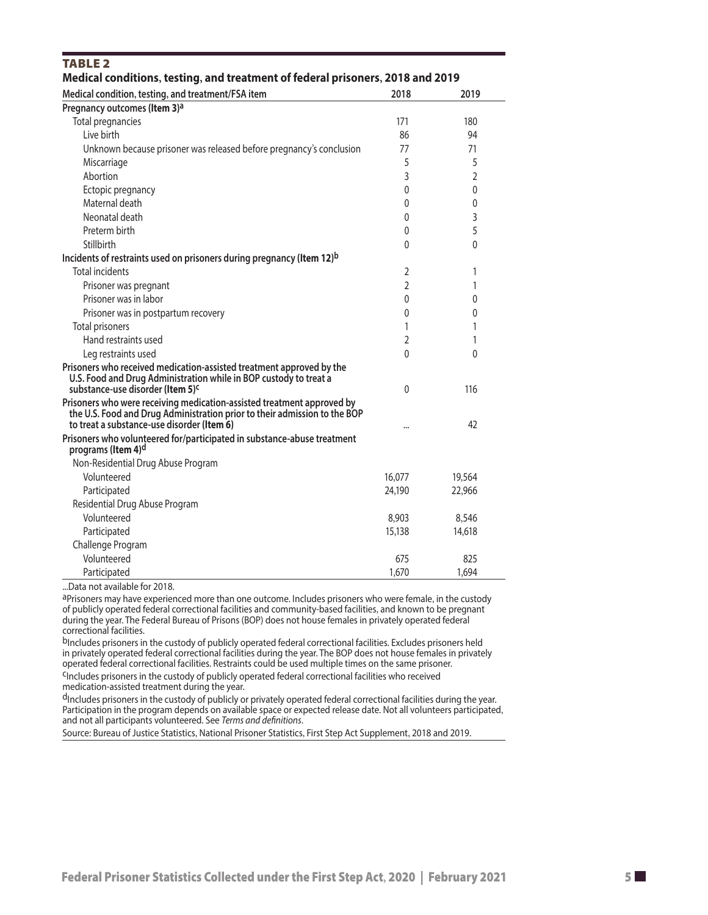| Medical conditions, testing, and treatment of federal prisoners, 2018 and 2019                                                                      |                |                |  |  |  |  |  |  |  |
|-----------------------------------------------------------------------------------------------------------------------------------------------------|----------------|----------------|--|--|--|--|--|--|--|
| Medical condition, testing, and treatment/FSA item                                                                                                  | 2018           | 2019           |  |  |  |  |  |  |  |
| Pregnancy outcomes (Item 3) <sup>a</sup>                                                                                                            |                |                |  |  |  |  |  |  |  |
| Total pregnancies                                                                                                                                   | 171            | 180            |  |  |  |  |  |  |  |
| Live birth                                                                                                                                          | 86             | 94             |  |  |  |  |  |  |  |
| Unknown because prisoner was released before pregnancy's conclusion                                                                                 | 77             | 71             |  |  |  |  |  |  |  |
| Miscarriage                                                                                                                                         | 5              | 5              |  |  |  |  |  |  |  |
| Abortion                                                                                                                                            | 3              | $\overline{2}$ |  |  |  |  |  |  |  |
| Ectopic pregnancy                                                                                                                                   | $\mathbf{0}$   | 0              |  |  |  |  |  |  |  |
| Maternal death                                                                                                                                      | 0              | $\mathbf 0$    |  |  |  |  |  |  |  |
| Neonatal death                                                                                                                                      | 0              | 3              |  |  |  |  |  |  |  |
| Preterm birth                                                                                                                                       | 0              | 5              |  |  |  |  |  |  |  |
| Stillbirth                                                                                                                                          | 0              | 0              |  |  |  |  |  |  |  |
| Incidents of restraints used on prisoners during pregnancy (Item 12) <sup>b</sup>                                                                   |                |                |  |  |  |  |  |  |  |
| <b>Total incidents</b>                                                                                                                              | 2              | 1              |  |  |  |  |  |  |  |
| Prisoner was pregnant                                                                                                                               | $\overline{2}$ | 1              |  |  |  |  |  |  |  |
| Prisoner was in labor                                                                                                                               | 0              | 0              |  |  |  |  |  |  |  |
| Prisoner was in postpartum recovery                                                                                                                 | 0              | $\Omega$       |  |  |  |  |  |  |  |
| <b>Total prisoners</b>                                                                                                                              | 1              | 1              |  |  |  |  |  |  |  |
| Hand restraints used                                                                                                                                | 2              | 1              |  |  |  |  |  |  |  |
| Leg restraints used                                                                                                                                 | $\Omega$       | $\Omega$       |  |  |  |  |  |  |  |
| Prisoners who received medication-assisted treatment approved by the<br>U.S. Food and Drug Administration while in BOP custody to treat a           |                |                |  |  |  |  |  |  |  |
| substance-use disorder (Item 5) <sup>c</sup>                                                                                                        | 0              | 116            |  |  |  |  |  |  |  |
| Prisoners who were receiving medication-assisted treatment approved by<br>the U.S. Food and Drug Administration prior to their admission to the BOP |                |                |  |  |  |  |  |  |  |
| to treat a substance-use disorder (Item 6)                                                                                                          |                | 42             |  |  |  |  |  |  |  |
| Prisoners who volunteered for/participated in substance-abuse treatment<br>programs (Item 4) <sup>d</sup>                                           |                |                |  |  |  |  |  |  |  |
| Non-Residential Drug Abuse Program                                                                                                                  |                |                |  |  |  |  |  |  |  |
| Volunteered                                                                                                                                         | 16,077         | 19,564         |  |  |  |  |  |  |  |
| Participated                                                                                                                                        | 24,190         | 22,966         |  |  |  |  |  |  |  |
| Residential Drug Abuse Program                                                                                                                      |                |                |  |  |  |  |  |  |  |
| Volunteered                                                                                                                                         | 8,903          | 8,546          |  |  |  |  |  |  |  |
| Participated                                                                                                                                        | 15,138         | 14,618         |  |  |  |  |  |  |  |
| Challenge Program                                                                                                                                   |                |                |  |  |  |  |  |  |  |
| Volunteered                                                                                                                                         | 675            | 825            |  |  |  |  |  |  |  |
| Participated                                                                                                                                        | 1,670          | 1,694          |  |  |  |  |  |  |  |

...Data not available for 2018.

**TABLE 2** 

aPrisoners may have experienced more than one outcome. Includes prisoners who were female, in the custody of publicly operated federal correctional facilities and community-based facilities, and known to be pregnant during the year. The Federal Bureau of Prisons (BOP) does not house females in privately operated federal correctional facilities.

bIncludes prisoners in the custody of publicly operated federal correctional facilities. Excludes prisoners held in privately operated federal correctional facilities during the year. The BOP does not house females in privately operated federal correctional facilities. Restraints could be used multiple times on the same prisoner.

cIncludes prisoners in the custody of publicly operated federal correctional facilities who received medication-assisted treatment during the year.

<sup>d</sup>Includes prisoners in the custody of publicly or privately operated federal correctional facilities during the year. Participation in the program depends on available space or expected release date. Not all volunteers participated, and not all participants volunteered. See *Terms and definitions*.

Source: Bureau of Justice Statistics, National Prisoner Statistics, First Step Act Supplement, 2018 and 2019.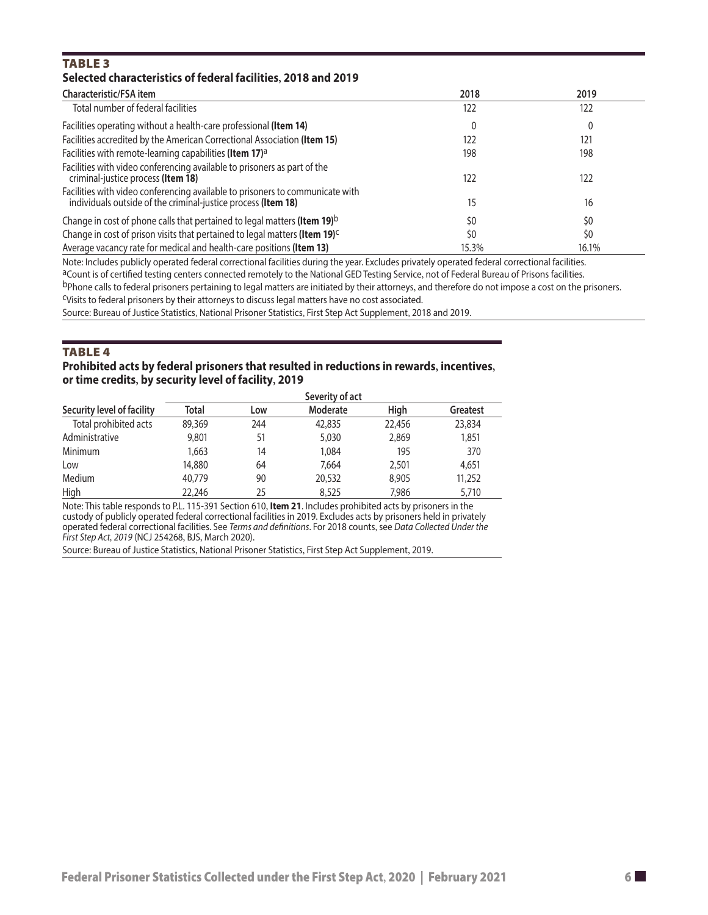#### TABLE<sub>3</sub> **Selected characteristics of federal facilities, 2018 and 2019**

| Characteristic/FSA item                                                                                                                        | 2018  | 2019  |
|------------------------------------------------------------------------------------------------------------------------------------------------|-------|-------|
| Total number of federal facilities                                                                                                             | 122   | 122   |
| Facilities operating without a health-care professional (Item 14)                                                                              | 0     |       |
| Facilities accredited by the American Correctional Association (Item 15)                                                                       | 122   | 121   |
| Facilities with remote-learning capabilities (Item 17) <sup>a</sup>                                                                            | 198   | 198   |
| Facilities with video conferencing available to prisoners as part of the<br>criminal-justice process (Item 18)                                 | 122   | 122   |
| Facilities with video conferencing available to prisoners to communicate with<br>individuals outside of the criminal-justice process (Item 18) | 15    | 16    |
| Change in cost of phone calls that pertained to legal matters (Item 19) <sup>b</sup>                                                           | \$0   | \$0   |
| Change in cost of prison visits that pertained to legal matters (Item 19) <sup>c</sup>                                                         | \$0   | \$0   |
| Average vacancy rate for medical and health-care positions (Item 13)                                                                           | 15.3% | 16.1% |

Note: Includes publicly operated federal correctional facilities during the year. Excludes privately operated federal correctional facilities.

aCount is of certified testing centers connected remotely to the National GED Testing Service, not of Federal Bureau of Prisons facilities.

bPhone calls to federal prisoners pertaining to legal matters are initiated by their attorneys, and therefore do not impose a cost on the prisoners.

cVisits to federal prisoners by their attorneys to discuss legal matters have no cost associated.

Source: Bureau of Justice Statistics, National Prisoner Statistics, First Step Act Supplement, 2018 and 2019.

#### **TABLE 4**

#### **Prohibited acts by federal prisoners that resulted in reductions in rewards, incentives, or time credits, by security level of facility, 2019**

|                            |        |     | Severity of act |        |                 |
|----------------------------|--------|-----|-----------------|--------|-----------------|
| Security level of facility | Total  | Low | Moderate        | High   | <b>Greatest</b> |
| Total prohibited acts      | 89,369 | 244 | 42,835          | 22,456 | 23,834          |
| Administrative             | 9,801  | 51  | 5,030           | 2,869  | 1,851           |
| Minimum                    | 1,663  | 14  | 1,084           | 195    | 370             |
| Low                        | 14,880 | 64  | 7,664           | 2,501  | 4,651           |
| Medium                     | 40,779 | 90  | 20,532          | 8,905  | 11,252          |
| High                       | 22,246 | 25  | 8,525           | 7,986  | 5,710           |

Note: This table responds to P.L. 115-391 Section 610, **Item 21**. Includes prohibited acts by prisoners in the custody of publicly operated federal correctional facilities in 2019. Excludes acts by prisoners held in privately operated federal correctional facilities. See *Terms and definitions*. For 2018 counts, see *Data Collected Under the First Step Act, 2019* (NCJ 254268, BJS, March 2020).

Source: Bureau of Justice Statistics, National Prisoner Statistics, First Step Act Supplement, 2019.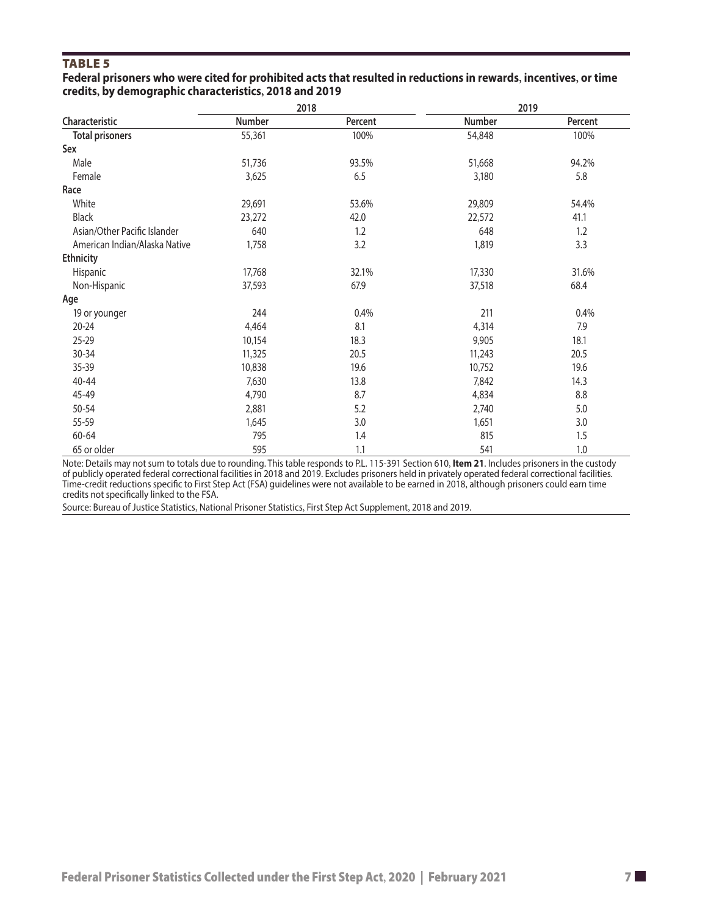#### **TABLE 5**

#### **Federal prisoners who were cited for prohibited acts that resulted in reductions in rewards, incentives, or time credits by demographic characteristics 2018 and 2019 , ,**

|                               |        | 2018    | 2019   |         |  |
|-------------------------------|--------|---------|--------|---------|--|
| Characteristic                | Number | Percent | Number | Percent |  |
| <b>Total prisoners</b>        | 55,361 | 100%    | 54,848 | 100%    |  |
| Sex                           |        |         |        |         |  |
| Male                          | 51,736 | 93.5%   | 51,668 | 94.2%   |  |
| Female                        | 3,625  | 6.5     | 3,180  | 5.8     |  |
| Race                          |        |         |        |         |  |
| White                         | 29,691 | 53.6%   | 29,809 | 54.4%   |  |
| <b>Black</b>                  | 23,272 | 42.0    | 22,572 | 41.1    |  |
| Asian/Other Pacific Islander  | 640    | 1.2     | 648    | 1.2     |  |
| American Indian/Alaska Native | 1,758  | 3.2     | 1,819  | 3.3     |  |
| <b>Ethnicity</b>              |        |         |        |         |  |
| Hispanic                      | 17,768 | 32.1%   | 17,330 | 31.6%   |  |
| Non-Hispanic                  | 37,593 | 67.9    | 37,518 | 68.4    |  |
| Age                           |        |         |        |         |  |
| 19 or younger                 | 244    | 0.4%    | 211    | 0.4%    |  |
| $20 - 24$                     | 4,464  | 8.1     | 4,314  | 7.9     |  |
| 25-29                         | 10,154 | 18.3    | 9,905  | 18.1    |  |
| 30-34                         | 11,325 | 20.5    | 11,243 | 20.5    |  |
| 35-39                         | 10,838 | 19.6    | 10,752 | 19.6    |  |
| $40 - 44$                     | 7,630  | 13.8    | 7,842  | 14.3    |  |
| 45-49                         | 4,790  | 8.7     | 4,834  | 8.8     |  |
| 50-54                         | 2,881  | 5.2     | 2,740  | $5.0\,$ |  |
| 55-59                         | 1,645  | 3.0     | 1,651  | 3.0     |  |
| 60-64                         | 795    | 1.4     | 815    | 1.5     |  |
| 65 or older                   | 595    | 1.1     | 541    | 1.0     |  |

Note: Details may not sum to totals due to rounding. This table responds to P.L. 115-391 Section 610, **Item 21**. Includes prisoners in the custody of publicly operated federal correctional facilities in 2018 and 2019. Excludes prisoners held in privately operated federal correctional facilities. Time-credit reductions specific to First Step Act (FSA) guidelines were not available to be earned in 2018, although prisoners could earn time credits not specifically linked to the FSA.

Source: Bureau of Justice Statistics, National Prisoner Statistics, First Step Act Supplement, 2018 and 2019.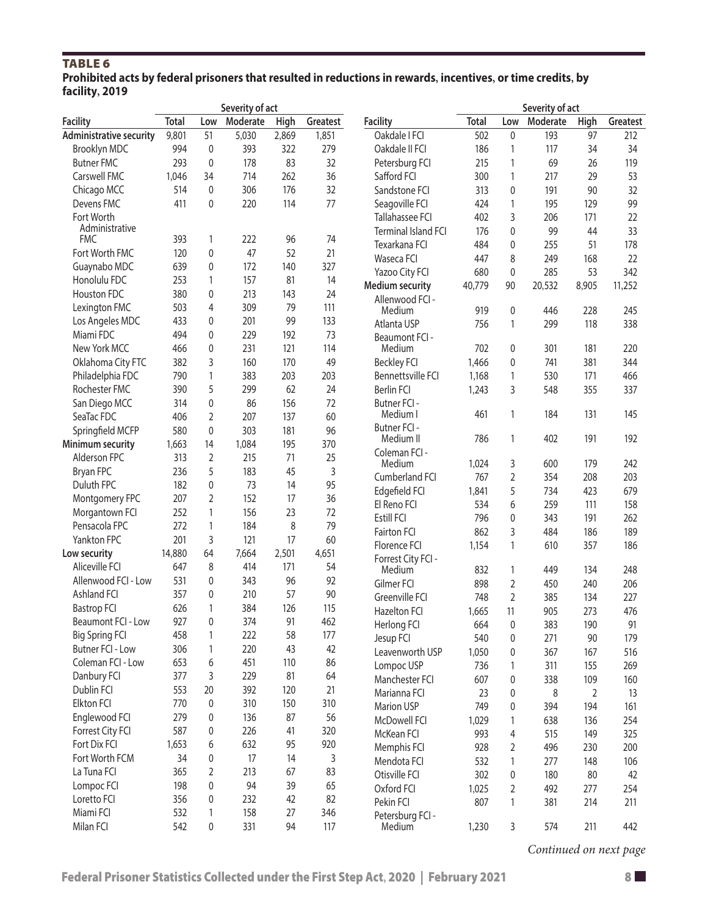## TABLE<sub>6</sub>

| Prohibited acts by federal prisoners that resulted in reductions in rewards, incentives, or time credits, by |  |
|--------------------------------------------------------------------------------------------------------------|--|
| facility, 2019                                                                                               |  |

|                                |        |                | Severity of act |       |          |                            |              |              | Severity of act |             |          |
|--------------------------------|--------|----------------|-----------------|-------|----------|----------------------------|--------------|--------------|-----------------|-------------|----------|
| <b>Facility</b>                | Total  | Low            | Moderate        | High  | Greatest | <b>Facility</b>            | <b>Total</b> | Low          | Moderate        | <b>High</b> | Greatest |
| <b>Administrative security</b> | 9,801  | 51             | 5,030           | 2,869 | 1,851    | Oakdale I FCI              | 502          | $\mathbf{0}$ | 193             | 97          | 212      |
| Brooklyn MDC                   | 994    | $\mathbf 0$    | 393             | 322   | 279      | Oakdale II FCI             | 186          | 1            | 117             | 34          | 34       |
| <b>Butner FMC</b>              | 293    | 0              | 178             | 83    | 32       | Petersburg FCI             | 215          | 1            | 69              | 26          | 119      |
| Carswell FMC                   | 1,046  | 34             | 714             | 262   | 36       | Safford FCI                | 300          | 1            | 217             | 29          | 53       |
| Chicago MCC                    | 514    | $\mathbf{0}$   | 306             | 176   | 32       | Sandstone FCI              | 313          | 0            | 191             | 90          | 32       |
| Devens FMC                     | 411    | 0              | 220             | 114   | 77       | Seagoville FCI             | 424          | 1            | 195             | 129         | 99       |
| Fort Worth                     |        |                |                 |       |          | Tallahassee FCI            | 402          | 3            | 206             | 171         | 22       |
| Administrative                 |        |                |                 |       |          | <b>Terminal Island FCI</b> | 176          | $\mathbf{0}$ | 99              | 44          | 33       |
| <b>FMC</b>                     | 393    | 1              | 222             | 96    | 74       | Texarkana FCI              | 484          | $\mathbf 0$  | 255             | 51          | 178      |
| Fort Worth FMC                 | 120    | 0              | 47              | 52    | 21       | Waseca FCI                 | 447          | 8            | 249             | 168         | 22       |
| Guaynabo MDC                   | 639    | 0              | 172             | 140   | 327      | Yazoo City FCI             | 680          | $\mathbf 0$  | 285             | 53          | 342      |
| Honolulu FDC                   | 253    | 1              | 157             | 81    | 14       | <b>Medium security</b>     | 40,779       | 90           | 20,532          | 8,905       | 11,252   |
| Houston FDC                    | 380    | 0              | 213             | 143   | 24       | Allenwood FCI -            |              |              |                 |             |          |
| Lexington FMC                  | 503    | 4              | 309             | 79    | 111      | Medium                     | 919          | $\mathbf{0}$ | 446             | 228         | 245      |
| Los Angeles MDC                | 433    | 0              | 201             | 99    | 133      | Atlanta USP                | 756          | 1            | 299             | 118         | 338      |
| Miami FDC                      | 494    | 0              | 229             | 192   | 73       | Beaumont FCI -             |              |              |                 |             |          |
| New York MCC                   | 466    | 0              | 231             | 121   | 114      | Medium                     | 702          | $\mathbf{0}$ | 301             | 181         | 220      |
| Oklahoma City FTC              | 382    | 3              | 160             | 170   | 49       | <b>Beckley FCI</b>         | 1,466        | 0            | 741             | 381         | 344      |
| Philadelphia FDC               | 790    | 1              | 383             | 203   | 203      | Bennettsville FCI          | 1,168        | 1            | 530             | 171         | 466      |
| Rochester FMC                  | 390    | 5              | 299             | 62    | 24       | <b>Berlin FCI</b>          | 1,243        | 3            | 548             | 355         | 337      |
| San Diego MCC                  | 314    | 0              | 86              | 156   | 72       | Butner FCI -               |              |              |                 |             |          |
| SeaTac FDC                     | 406    | $\overline{2}$ | 207             | 137   | 60       | Medium I                   | 461          | 1            | 184             | 131         | 145      |
| Springfield MCFP               | 580    | $\mathbf 0$    | 303             | 181   | 96       | Butner FCI -               |              |              |                 |             |          |
| <b>Minimum security</b>        | 1,663  | 14             | 1,084           | 195   | 370      | Medium II                  | 786          | 1            | 402             | 191         | 192      |
| Alderson FPC                   | 313    | 2              | 215             | 71    | 25       | Coleman FCI -              |              |              |                 |             |          |
| Bryan FPC                      | 236    | 5              | 183             | 45    | 3        | Medium                     | 1,024        | 3            | 600             | 179         | 242      |
| Duluth FPC                     | 182    | 0              | 73              | 14    | 95       | Cumberland FCI             | 767          | 2            | 354             | 208         | 203      |
| Montgomery FPC                 | 207    | $\overline{2}$ | 152             | 17    | 36       | Edgefield FCI              | 1,841        | 5            | 734             | 423         | 679      |
| Morgantown FCI                 | 252    | $\mathbf{1}$   | 156             | 23    | 72       | El Reno FCI                | 534          | 6            | 259             | 111         | 158      |
| Pensacola FPC                  | 272    | $\mathbf{1}$   | 184             | 8     | 79       | Estill FCI                 | 796          | 0            | 343             | 191         | 262      |
| Yankton FPC                    | 201    | 3              | 121             | 17    | 60       | Fairton FCI                | 862          | 3            | 484             | 186         | 189      |
| Low security                   | 14,880 | 64             | 7,664           | 2,501 | 4,651    | Florence FCI               | 1,154        | 1            | 610             | 357         | 186      |
| Aliceville FCI                 | 647    | 8              | 414             | 171   | 54       | Forrest City FCI -         |              |              |                 |             |          |
| Allenwood FCI - Low            | 531    | $\mathbf{0}$   | 343             | 96    | 92       | Medium                     | 832          | 1            | 449             | 134         | 248      |
|                                |        |                |                 |       |          | Gilmer FCI                 | 898          | 2            | 450             | 240         | 206      |
| Ashland FCI                    | 357    | $\Omega$       | 210             | 57    | 90       | Greenville FCI             | 748          | 2            | 385             | 134         | 227      |
| <b>Bastrop FCI</b>             | 626    | $\mathbf{1}$   | 384             | 126   | 115      | <b>Hazelton FCI</b>        | 1,665        | 11           | 905             | 273         | 476      |
| Beaumont FCI - Low             | 927    | 0              | 374             | 91    | 462      | Herlong FCI                | 664          | $\pmb{0}$    | 383             | 190         | 91       |
| <b>Big Spring FCI</b>          | 458    | 1              | 222             | 58    | 177      | Jesup FCI                  | 540          | 0            | 271             | 90          | 179      |
| <b>Butner FCI - Low</b>        | 306    | 1              | 220             | 43    | 42       | Leavenworth USP            | 1,050        | 0            | 367             | 167         | 516      |
| Coleman FCI - Low              | 653    | 6              | 451             | 110   | 86       | Lompoc USP                 | 736          | 1            | 311             | 155         | 269      |
| Danbury FCI                    | 377    | 3              | 229             | 81    | 64       | Manchester FCI             | 607          | $\pmb{0}$    | 338             | 109         | 160      |
| Dublin FCI                     | 553    | 20             | 392             | 120   | 21       | Marianna FCI               | 23           | 0            | 8               | 2           | 13       |
| Elkton FCI                     | 770    | 0              | 310             | 150   | 310      | Marion USP                 | 749          | 0            | 394             | 194         | 161      |
| Englewood FCI                  | 279    | 0              | 136             | 87    | 56       | McDowell FCI               | 1,029        | 1            | 638             | 136         | 254      |
| Forrest City FCI               | 587    | 0              | 226             | 41    | 320      | McKean FCI                 | 993          | 4            | 515             | 149         | 325      |
| Fort Dix FCI                   | 1,653  | 6              | 632             | 95    | 920      | Memphis FCI                | 928          | 2            | 496             | 230         | 200      |
| Fort Worth FCM                 | 34     | 0              | 17              | 14    | 3        | Mendota FCI                | 532          | 1            | 277             | 148         | 106      |
| La Tuna FCI                    | 365    | $\overline{2}$ | 213             | 67    | 83       | Otisville FCI              | 302          | 0            | 180             | 80          | 42       |
| Lompoc FCI                     | 198    | 0              | 94              | 39    | 65       | Oxford FCI                 | 1,025        | 2            | 492             | 277         | 254      |
| Loretto FCI                    | 356    | 0              | 232             | 42    | 82       | Pekin FCI                  | 807          | 1            | 381             | 214         | 211      |
| Miami FCI                      | 532    | 1              | 158             | 27    | 346      | Petersburg FCI -           |              |              |                 |             |          |
| Milan FCI                      | 542    | 0              | 331             | 94    | 117      | Medium                     | 1,230        | 3            | 574             | 211         | 442      |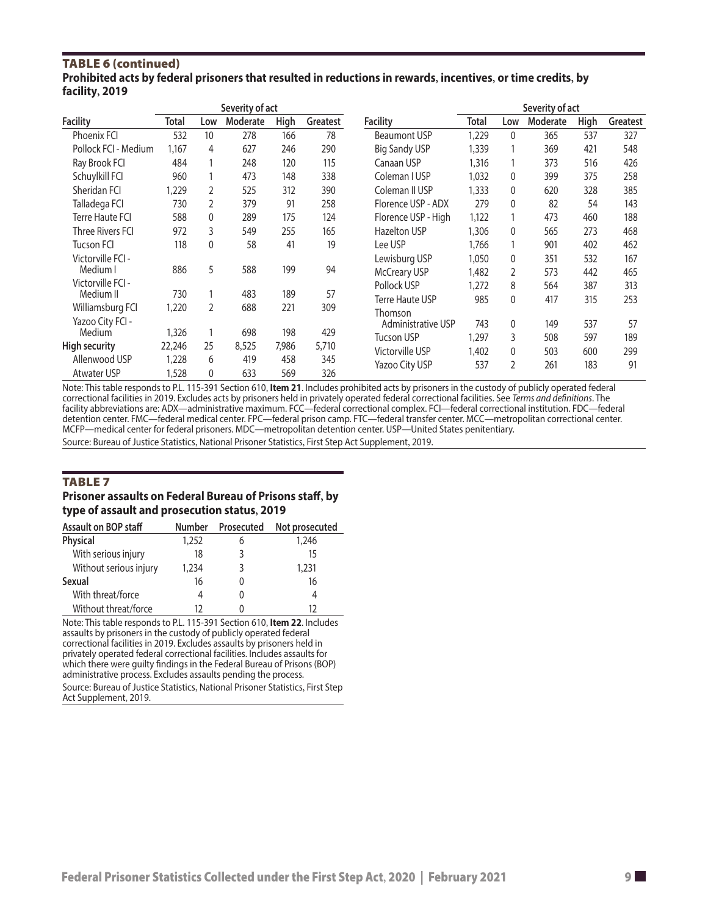#### TAble 6 (continued) **Prohibited acts by federal prisoners that resulted in reductions in rewards, incentives, or time credits, by facility, 2019**

|                      |        |     | Severity of act |       |          |                        | Severity of act |              |          |             |          |
|----------------------|--------|-----|-----------------|-------|----------|------------------------|-----------------|--------------|----------|-------------|----------|
| <b>Facility</b>      | Total  | Low | Moderate        | High  | Greatest | <b>Facility</b>        | Total           | Low          | Moderate | <b>High</b> | Greatest |
| <b>Phoenix FCI</b>   | 532    | 10  | 278             | 166   | 78       | <b>Beaumont USP</b>    | 1,229           | $\mathbf{0}$ | 365      | 537         | 327      |
| Pollock FCI - Medium | 1,167  | 4   | 627             | 246   | 290      | <b>Big Sandy USP</b>   | 1,339           |              | 369      | 421         | 548      |
| Ray Brook FCI        | 484    |     | 248             | 120   | 115      | Canaan USP             | 1,316           |              | 373      | 516         | 426      |
| Schuylkill FCI       | 960    |     | 473             | 148   | 338      | Coleman I USP          | 1,032           | $\mathbf{0}$ | 399      | 375         | 258      |
| Sheridan FCI         | 1,229  | 2   | 525             | 312   | 390      | Coleman II USP         | 1,333           | $\mathbf{0}$ | 620      | 328         | 385      |
| Talladega FCI        | 730    | 2   | 379             | 91    | 258      | Florence USP - ADX     | 279             | $\mathbf{0}$ | 82       | 54          | 143      |
| Terre Haute FCI      | 588    | 0   | 289             | 175   | 124      | Florence USP - High    | 1,122           |              | 473      | 460         | 188      |
| Three Rivers FCI     | 972    | 3   | 549             | 255   | 165      | <b>Hazelton USP</b>    | 1,306           | $\mathbf{0}$ | 565      | 273         | 468      |
| <b>Tucson FCI</b>    | 118    | 0   | 58              | 41    | 19       | Lee USP                | 1.766           |              | 901      | 402         | 462      |
| Victorville FCI -    |        |     |                 |       |          | Lewisburg USP          | 1,050           | $\mathbf{0}$ | 351      | 532         | 167      |
| Medium I             | 886    | 5   | 588             | 199   | 94       | <b>McCreary USP</b>    | 1,482           | 2            | 573      | 442         | 465      |
| Victorville FCI -    |        |     |                 |       |          | Pollock USP            | 1,272           | 8            | 564      | 387         | 313      |
| Medium II            | 730    |     | 483             | 189   | 57       | <b>Terre Haute USP</b> | 985             | $\mathbf{0}$ | 417      | 315         | 253      |
| Williamsburg FCI     | 1,220  | 2   | 688             | 221   | 309      | Thomson                |                 |              |          |             |          |
| Yazoo City FCI -     |        |     |                 |       |          | Administrative USP     | 743             | $\mathbf{0}$ | 149      | 537         | 57       |
| Medium               | 1,326  |     | 698             | 198   | 429      | Tucson USP             | 1,297           | 3            | 508      | 597         | 189      |
| <b>High security</b> | 22,246 | 25  | 8,525           | 7,986 | 5,710    | Victorville USP        | 1,402           | $\mathbf{0}$ | 503      | 600         | 299      |
| Allenwood USP        | 1,228  | 6   | 419             | 458   | 345      | Yazoo City USP         | 537             | 2            | 261      | 183         | 91       |
| <b>Atwater USP</b>   | 1,528  | 0   | 633             | 569   | 326      |                        |                 |              |          |             |          |

Note: This table responds to P.L. 115-391 Section 610, **Item 21**. Includes prohibited acts by prisoners in the custody of publicly operated federal correctional facilities in 2019. Excludes acts by prisoners held in privately operated federal correctional facilities. See *Terms and definitions*. The facility abbreviations are: ADX—administrative maximum. FCC—federal correctional complex. FCI—federal correctional institution. FDC—federal detention center. FMC—federal medical center. FPC—federal prison camp. FTC—federal transfer center. MCC—metropolitan correctional center. MCFP—medical center for federal prisoners. MDC—metropolitan detention center. USP—United States penitentiary.

Source: Bureau of Justice Statistics, National Prisoner Statistics, First Step Act Supplement, 2019.

#### **TABLE 7**

#### **Prisoner assaults on Federal Bureau of Prisons staff, by type of assault and prosecution status, 2019**

| Assault on BOP staff   | <b>Number</b> | Prosecuted | Not prosecuted |
|------------------------|---------------|------------|----------------|
| <b>Physical</b>        | 1,252         | 6          | 1,246          |
| With serious injury    | 18            |            | 15             |
| Without serious injury | 1,234         | 3          | 1,231          |
| Sexual                 | 16            |            | 16             |
| With threat/force      |               |            |                |
| Without threat/force   | 17            |            | 17             |

Note: This table responds to P.L. 115-391 Section 610, **Item 22**. Includes assaults by prisoners in the custody of publicly operated federal correctional facilities in 2019. Excludes assaults by prisoners held in privately operated federal correctional facilities. Includes assaults for which there were guilty findings in the Federal Bureau of Prisons (BOP) administrative process. Excludes assaults pending the process. Source: Bureau of Justice Statistics, National Prisoner Statistics, First Step Act Supplement, 2019.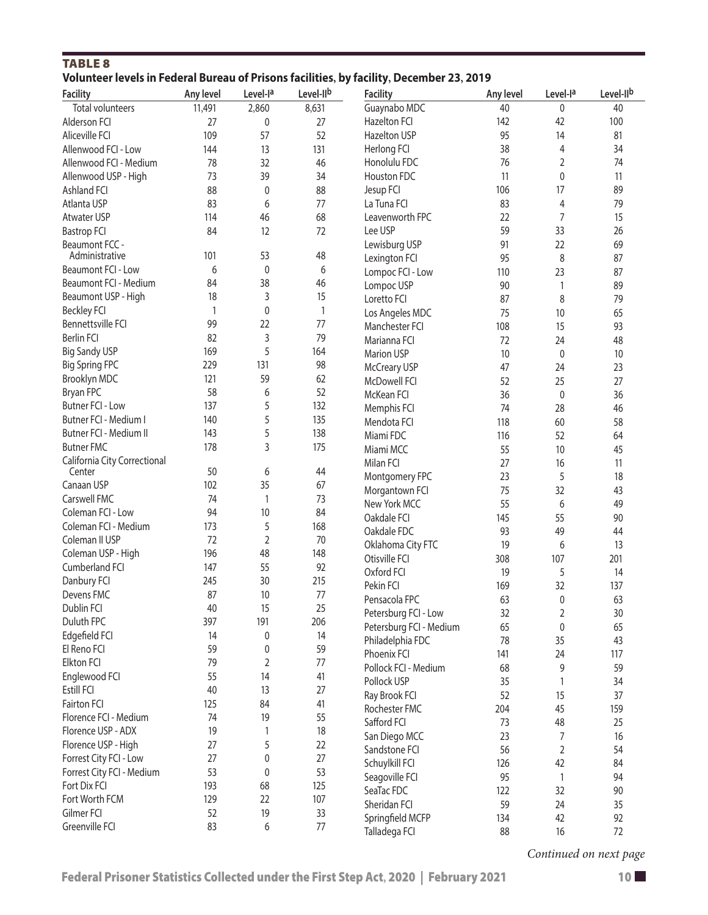#### TABLE 8 **Volunteer levels in Federal Bureau of Prisons facilities, by facility, December 23, 2019**

| <b>Facility</b>              | Any level | Level-la | Level-IIb    | <b>Facility</b>         | Any level | Level-la         | Level-IIb |
|------------------------------|-----------|----------|--------------|-------------------------|-----------|------------------|-----------|
| <b>Total volunteers</b>      | 11,491    | 2,860    | 8,631        | Guaynabo MDC            | 40        | 0                | 40        |
| Alderson FCI                 | 27        | 0        | 27           | <b>Hazelton FCI</b>     | 142       | 42               | 100       |
| Aliceville FCI               | 109       | 57       | 52           | Hazelton USP            | 95        | 14               | 81        |
| Allenwood FCI - Low          | 144       | 13       | 131          | Herlong FCI             | 38        | 4                | 34        |
| Allenwood FCI - Medium       | 78        | 32       | 46           | Honolulu FDC            | 76        | 2                | 74        |
| Allenwood USP - High         | 73        | 39       | 34           | Houston FDC             | 11        | 0                | 11        |
| Ashland FCI                  | 88        | 0        | 88           | Jesup FCI               | 106       | 17               | 89        |
| Atlanta USP                  | 83        | 6        | 77           | La Tuna FCI             | 83        | 4                | 79        |
| Atwater USP                  | 114       | 46       | 68           | Leavenworth FPC         | 22        | 7                | 15        |
| <b>Bastrop FCI</b>           | 84        | 12       | 72           | Lee USP                 | 59        | 33               | 26        |
| Beaumont FCC -               |           |          |              | Lewisburg USP           | 91        | 22               | 69        |
| Administrative               | 101       | 53       | 48           | Lexington FCI           | 95        | 8                | 87        |
| Beaumont FCI - Low           | 6         | 0        | 6            | Lompoc FCI - Low        | 110       | 23               | 87        |
| Beaumont FCI - Medium        | 84        | 38       | 46           | Lompoc USP              | 90        | 1                | 89        |
| Beaumont USP - High          | 18        | 3        | 15           | Loretto FCI             | 87        | 8                | 79        |
| <b>Beckley FCI</b>           | 1         | 0        | $\mathbf{1}$ | Los Angeles MDC         | 75        | 10               | 65        |
| Bennettsville FCI            | 99        | 22       | 77           | Manchester FCI          | 108       | 15               | 93        |
| <b>Berlin FCI</b>            | 82        | 3        | 79           | Marianna FCI            | 72        | 24               | 48        |
| <b>Big Sandy USP</b>         | 169       | 5        | 164          | Marion USP              | 10        | 0                | 10        |
| <b>Big Spring FPC</b>        | 229       | 131      | 98           | <b>McCreary USP</b>     | 47        | 24               | 23        |
| Brooklyn MDC                 | 121       | 59       | 62           | McDowell FCI            | 52        | 25               | 27        |
| Bryan FPC                    | 58        | 6        | 52           | McKean FCI              | 36        | 0                | 36        |
| <b>Butner FCI - Low</b>      | 137       | 5        | 132          | Memphis FCI             | 74        | 28               | 46        |
| Butner FCI - Medium I        | 140       | 5        | 135          | Mendota FCI             | 118       | 60               | 58        |
| Butner FCI - Medium II       | 143       | 5        | 138          | Miami FDC               | 116       | 52               | 64        |
| <b>Butner FMC</b>            | 178       | 3        | 175          | Miami MCC               | 55        | 10               | 45        |
| California City Correctional |           |          |              | Milan FCI               | 27        | 16               | 11        |
| Center                       | 50        | 6        | 44           | Montgomery FPC          | 23        | 5                | 18        |
| Canaan USP                   | 102       | 35       | 67           | Morgantown FCI          | 75        | 32               | 43        |
| Carswell FMC                 | 74        | 1        | 73           | New York MCC            | 55        | 6                | 49        |
| Coleman FCI - Low            | 94        | 10       | 84           | Oakdale FCI             | 145       | 55               | 90        |
| Coleman FCI - Medium         | 173       | 5        | 168          | Oakdale FDC             | 93        | 49               | 44        |
| Coleman II USP               | 72        | 2        | 70           | Oklahoma City FTC       | 19        | 6                | 13        |
| Coleman USP - High           | 196       | 48       | 148          | Otisville FCI           | 308       | 107              | 201       |
| Cumberland FCI               | 147       | 55       | 92           | Oxford FCI              | 19        | 5                | 14        |
| Danbury FCI                  | 245       | 30       | 215          | Pekin FCI               | 169       | 32               | 137       |
| Devens FMC                   | 87        | 10       | 77           | Pensacola FPC           | 63        | $\mathbf{0}$     | 63        |
| Dublin FCI                   | 40        | 15       | 25           | Petersburg FCI - Low    | 32        | 2                | 30        |
| Duluth FPC                   | 397       | 191      | 206          | Petersburg FCI - Medium | 65        | $\boldsymbol{0}$ | 65        |
| Edgefield FCI                | 14        | 0        | 14           | Philadelphia FDC        | 78        | 35               | 43        |
| El Reno FCI                  | 59        | 0        | 59           | Phoenix FCI             | 141       | 24               | 117       |
| <b>Elkton FCI</b>            | 79        | 2        | 77           | Pollock FCI - Medium    | 68        | 9                | 59        |
| Englewood FCI                | 55        | 14       | 41           | Pollock USP             | 35        | $\mathbf{1}$     | 34        |
| Estill FCI                   | 40        | 13       | 27           | Ray Brook FCI           | 52        | 15               | 37        |
| Fairton FCI                  | 125       | 84       | 41           | Rochester FMC           | 204       | 45               | 159       |
| Florence FCI - Medium        | 74        | 19       | 55           | Safford FCI             | 73        | 48               | 25        |
| Florence USP - ADX           | 19        | 1        | 18           | San Diego MCC           | 23        | 7                | 16        |
| Florence USP - High          | 27        | 5        | 22           | Sandstone FCI           | 56        | $\overline{2}$   | 54        |
| Forrest City FCI - Low       | 27        | 0        | 27           | Schuylkill FCI          | 126       | 42               | 84        |
| Forrest City FCI - Medium    | 53        | 0        | 53           | Seagoville FCI          | 95        | 1                | 94        |
| Fort Dix FCI                 | 193       | 68       | 125          | SeaTac FDC              | 122       | 32               | 90        |
| Fort Worth FCM               | 129       | 22       | 107          | Sheridan FCI            | 59        | 24               | 35        |
| Gilmer FCI                   | 52        | 19       | 33           | Springfield MCFP        | 134       | 42               | 92        |
| Greenville FCI               | 83        | 6        | 77           | Talladega FCI           | 88        | 16               | 72        |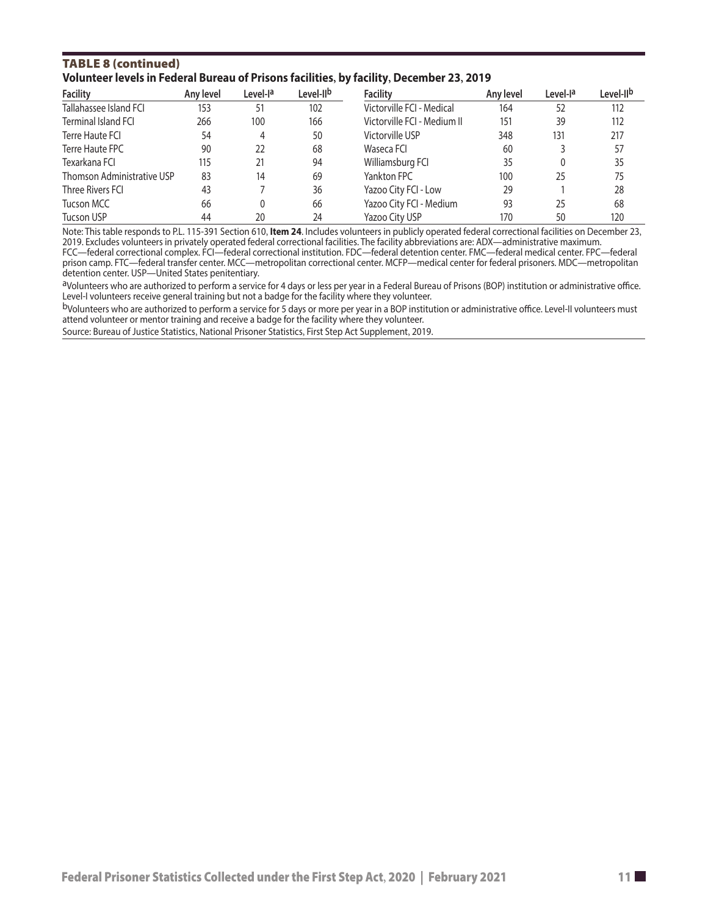#### TAble 8 (continued) **Volunteer levels in Federal Bureau of Prisons facilities, by facility, December 23, 2019**

| <b>Facility</b>            | Any level | Level-l <sup>a</sup> | Level-II <sup>b</sup> | <b>Facility</b>             | Any level | Level-la | Level-IIb |
|----------------------------|-----------|----------------------|-----------------------|-----------------------------|-----------|----------|-----------|
| Tallahassee Island FCI     | 153       | 51                   | 102                   | Victorville FCI - Medical   | 164       | 52       | 112       |
| Terminal Island FCI        | 266       | 100                  | 166                   | Victorville FCI - Medium II | 151       | 39       | 112       |
| Terre Haute FCI            | 54        | 4                    | 50                    | Victorville USP             | 348       | 131      | 217       |
| Terre Haute FPC            | 90        | 22                   | 68                    | Waseca FCI                  | 60        |          | 57        |
| Texarkana FCI              | 115       | 21                   | 94                    | Williamsburg FCI            | 35        | 0        | 35        |
| Thomson Administrative USP | 83        | 14                   | 69                    | Yankton FPC                 | 100       | 25       | 75        |
| Three Rivers FCI           | 43        |                      | 36                    | Yazoo City FCI - Low        | 29        |          | 28        |
| Tucson MCC                 | 66        |                      | 66                    | Yazoo City FCI - Medium     | 93        | 25       | 68        |
| Tucson USP                 | 44        | 20                   | 24                    | Yazoo City USP              | 170       | 50       | 120       |

Note: This table responds to P.L. 115-391 Section 610, **Item 24**. Includes volunteers in publicly operated federal correctional facilities on December 23, 2019. Excludes volunteers in privately operated federal correctional facilities. The facility abbreviations are: ADX—administrative maximum. FCC—federal correctional complex. FCI—federal correctional institution. FDC—federal detention center. FMC—federal medical center. FPC—federal

prison camp. FTC—federal transfer center. MCC—metropolitan correctional center. MCFP—medical center for federal prisoners. MDC—metropolitan detention center. USP—United States penitentiary.

aVolunteers who are authorized to perform a service for 4 days or less per year in a Federal Bureau of Prisons (BOP) institution or administrative office. Level-I volunteers receive general training but not a badge for the facility where they volunteer.

bVolunteers who are authorized to perform a service for 5 days or more per year in a BOP institution or administrative office. Level-II volunteers must attend volunteer or mentor training and receive a badge for the facility where they volunteer.

Source: Bureau of Justice Statistics, National Prisoner Statistics, First Step Act Supplement, 2019.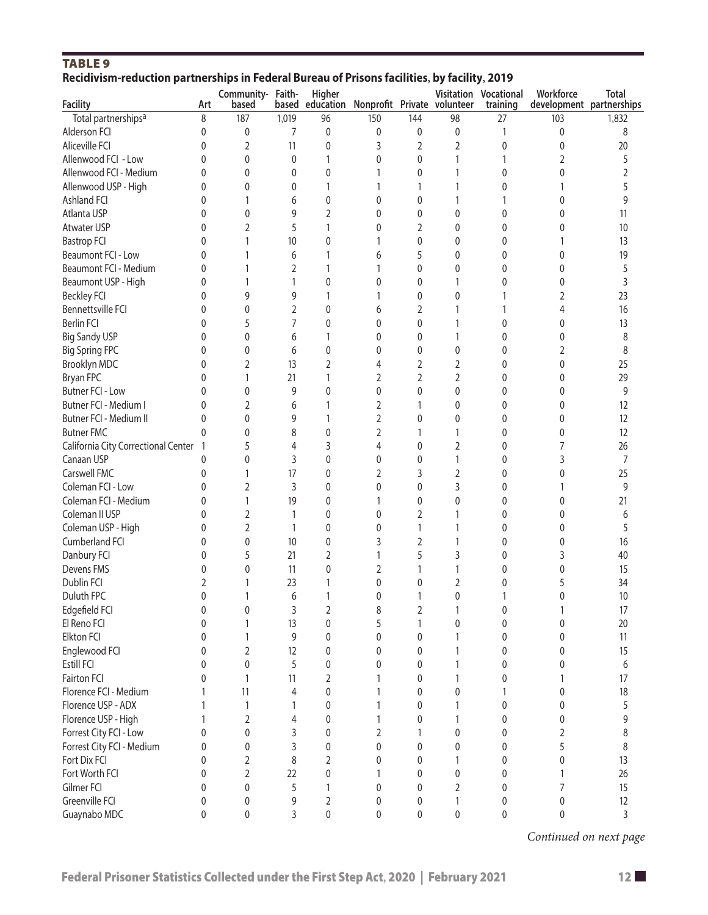| <b>TABLE 9</b>                                                                               |                |                   |                |                |     |                |                             |                              |                          |       |
|----------------------------------------------------------------------------------------------|----------------|-------------------|----------------|----------------|-----|----------------|-----------------------------|------------------------------|--------------------------|-------|
| Recidivism-reduction partnerships in Federal Bureau of Prisons facilities, by facility, 2019 |                |                   |                |                |     |                |                             |                              |                          |       |
|                                                                                              |                | Community- Faith- |                | Higher         |     |                |                             | <b>Visitation Vocational</b> | Workforce                | Total |
| <b>Facility</b>                                                                              | Art            | based             | based          | education      |     |                | Nonprofit Private volunteer | training                     | development partnerships |       |
| Total partnerships <sup>a</sup>                                                              | 8              | 187               | 1,019          | 96             | 150 | 144            | 98                          | 27                           | 103                      | 1,832 |
| Alderson FCI                                                                                 | 0              | 0                 | 7              | 0              | 0   | 0              | 0                           | 1                            | 0                        | 8     |
| Aliceville FCI                                                                               | 0              | $\overline{2}$    | 11             | 0              | 3   | 2              | 2                           | 0                            | 0                        | 20    |
| Allenwood FCI - Low                                                                          | 0              | $\pmb{0}$         | $\mathbf{0}$   | 1              | 0   | 0              | 1                           | 1                            | 2                        | 5     |
| Allenwood FCI - Medium                                                                       | 0              | 0                 | 0              | 0              |     | 0              | 1                           | 0                            | 0                        | 2     |
| Allenwood USP - High                                                                         | 0              | 0                 | 0              | 1              |     | 1              | 1                           | 0                            |                          | 5     |
| Ashland FCI                                                                                  | 0              | 1                 | 6              | 0              | 0   | 0              | 1                           |                              | 0                        | 9     |
| Atlanta USP                                                                                  | 0              | 0                 | 9              | $\overline{2}$ | 0   | 0              | 0                           | 0                            | 0                        | 11    |
| <b>Atwater USP</b>                                                                           | 0              | $\overline{2}$    | 5              | 1              | 0   | $\overline{2}$ | 0                           | 0                            | 0                        | 10    |
| <b>Bastrop FCI</b>                                                                           | 0              | 1                 | 10             | 0              |     | 0              | 0                           | 0                            |                          | 13    |
| Beaumont FCI - Low                                                                           | 0              | 1                 | 6              | 1              | 6   | 5              | 0                           | 0                            | 0                        | 19    |
| Beaumont FCI - Medium                                                                        | 0              | 1                 | $\overline{2}$ | 1              | 1   | 0              | 0                           | 0                            | 0                        | 5     |
| Beaumont USP - High                                                                          | 0              | 1                 | 1              | 0              | 0   | 0              | 1                           | 0                            | 0                        | 3     |
| <b>Beckley FCI</b>                                                                           | 0              | 9                 | 9              | 1              | 1   | 0              | 0                           | 1                            | 2                        | 23    |
| Bennettsville FCI                                                                            | 0              | 0                 | 2              | 0              | 6   | 2              | 1                           |                              | 4                        | 16    |
| <b>Berlin FCI</b>                                                                            | 0              | 5                 | 7              | 0              | 0   | 0              | 1                           | 0                            | 0                        | 13    |
| <b>Big Sandy USP</b>                                                                         | 0              | 0                 | 6              | 1              | 0   | 0              | 1                           | 0                            | 0                        | 8     |
| <b>Big Spring FPC</b>                                                                        | 0              | 0                 | 6              | 0              | 0   | 0              | 0                           | 0                            | 2                        | 8     |
| Brooklyn MDC                                                                                 | 0              | $\overline{2}$    | 13             | 2              | 4   | 2              | 2                           | 0                            | 0                        | 25    |
|                                                                                              |                |                   |                |                |     |                |                             |                              |                          |       |
| Bryan FPC                                                                                    | 0              | 1                 | 21             | 1              | 2   | 2              | $\overline{2}$              | 0                            | 0                        | 29    |
| Butner FCI - Low                                                                             | 0              | 0                 | 9              | 0              | 0   | 0              | 0                           | 0                            | 0                        | 9     |
| Butner FCI - Medium I                                                                        | 0              | $\overline{2}$    | 6              | 1              | 2   | 1              | 0                           | 0                            | 0                        | 12    |
| Butner FCI - Medium II                                                                       | 0              | 0                 | 9              | 1              | 2   | 0              | 0                           | 0                            | 0                        | 12    |
| <b>Butner FMC</b>                                                                            | 0              | 0                 | 8              | 0              | 2   | 1              | 1                           | 0                            | 0                        | 12    |
| California City Correctional Center                                                          | $\overline{1}$ | 5                 | 4              | 3              | 4   | 0              | $\overline{2}$              | 0                            | 7                        | 26    |
| Canaan USP                                                                                   | 0              | 0                 | 3              | 0              | 0   | 0              | 1                           | 0                            | 3                        | 7     |
| Carswell FMC                                                                                 | 0              | $\mathbf{1}$      | 17             | 0              | 2   | 3              | $\overline{2}$              | 0                            | 0                        | 25    |
| Coleman FCI - Low                                                                            | 0              | $\overline{2}$    | 3              | 0              | 0   | 0              | 3                           | 0                            |                          | 9     |
| Coleman FCI - Medium                                                                         | 0              | $\mathbf{1}$      | 19             | 0              | 1   | 0              | 0                           | 0                            | 0                        | 21    |
| Coleman II USP                                                                               | 0              | $\overline{2}$    | 1              | 0              | 0   | 2              | 1                           | 0                            | 0                        | 6     |
| Coleman USP - High                                                                           | 0              | $\overline{2}$    | 1              | 0              | 0   | $\mathbf{1}$   | 1                           | 0                            | 0                        | 5     |
| Cumberland FCI                                                                               | 0              | 0                 | 10             | 0              | 3   | 2              | 1                           | 0                            | 0                        | 16    |
| Danbury FCI                                                                                  | 0              | 5                 | 21             | 2              |     | 5              | 3                           | 0                            | 3                        | 40    |
| Devens FMS                                                                                   | 0              | $\Omega$          | 11             | 0              | 2   | 1              |                             | $\Omega$                     | $\Omega$                 | 15    |
| Dublin FCI                                                                                   | 2              | 1                 | 23             | 1              | 0   | 0              | $\overline{2}$              | 0                            | 5                        | 34    |
| Duluth FPC                                                                                   | 0              | 1                 | 6              | 1              | 0   | 1              | $\pmb{0}$                   | 1                            | $\pmb{0}$                | 10    |
| Edgefield FCI                                                                                | 0              | $\mathbf{0}$      | 3              | $\sqrt{2}$     | 8   | $\overline{2}$ | 1                           | 0                            | 1                        | 17    |
| El Reno FCI                                                                                  | 0              | 1                 | 13             | $\pmb{0}$      | 5   | $\mathbf{1}$   | 0                           | 0                            | 0                        | 20    |
| Elkton FCI                                                                                   | 0              | 1                 | 9              | 0              | 0   | 0              | 1                           | 0                            | 0                        | 11    |
| Englewood FCI                                                                                | 0              | $\overline{2}$    | 12             | 0              | 0   | 0              | 1                           | 0                            | 0                        | 15    |
| Estill FCI                                                                                   | 0              | $\pmb{0}$         | 5              | 0              | 0   | 0              | 1                           | 0                            | 0                        | 6     |
| Fairton FCI                                                                                  | 0              | $\mathbf{1}$      | 11             | $\overline{2}$ |     | 0              | 1                           | 0                            | 1                        | 17    |
| Florence FCI - Medium                                                                        | 1              | 11                | $\overline{4}$ | $\pmb{0}$      | 1   | 0              | 0                           | 1                            | 0                        | 18    |
| Florence USP - ADX                                                                           | 1              | 1                 | 1              | 0              |     | 0              | 1                           | 0                            | 0                        | 5     |
| Florence USP - High                                                                          | 1              | $\overline{2}$    | $\overline{4}$ | $\pmb{0}$      | 1   | 0              | 1                           | 0                            | 0                        | 9     |
| Forrest City FCI - Low                                                                       | 0              | 0                 | 3              | 0              | 2   | 1              | 0                           | 0                            | 2                        | 8     |
| Forrest City FCI - Medium                                                                    |                | 0                 | 3              |                | 0   |                | 0                           | 0                            | 5                        | 8     |
| Fort Dix FCI                                                                                 | 0<br>0         | 2                 | 8              | 0<br>2         | 0   | 0<br>0         |                             | 0                            | 0                        | 13    |
| Fort Worth FCI                                                                               |                | $\overline{2}$    | 22             |                |     |                | 0                           |                              |                          | 26    |
|                                                                                              | 0              |                   |                | 0              |     | 0              |                             | 0                            | 1                        |       |
| Gilmer FCI                                                                                   | 0              | $\pmb{0}$         | 5              | 1              | 0   | 0              | 2                           | 0                            | 7                        | 15    |
| Greenville FCI                                                                               | 0              | 0                 | 9              | 2              | 0   | 0              | 1                           | 0                            | 0                        | 12    |
| Guaynabo MDC                                                                                 | 0              | 0                 | 3              | $\pmb{0}$      | 0   | 0              | $\pmb{0}$                   | 0                            | 0                        | 3     |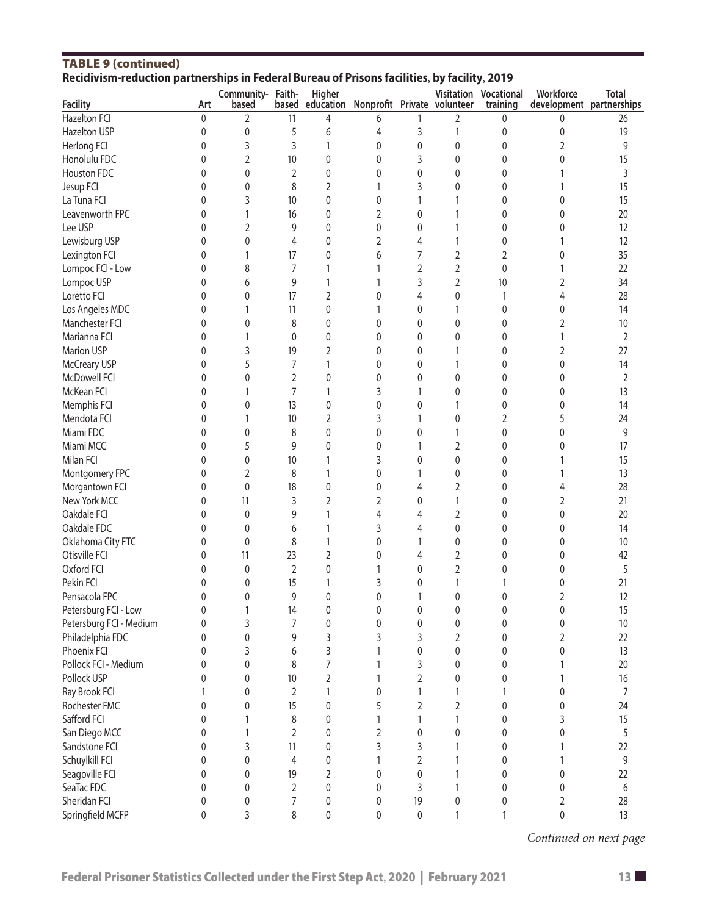| Recidivisin-reduction partnerships in Federal Dureau of Prisons facilities, by facility, 2019 |              |                            |                |                                                       |                |    |          |                                   |                                       |                |  |
|-----------------------------------------------------------------------------------------------|--------------|----------------------------|----------------|-------------------------------------------------------|----------------|----|----------|-----------------------------------|---------------------------------------|----------------|--|
| <b>Facility</b>                                                                               | Art          | Community- Faith-<br>based |                | Higher<br>based education Nonprofit Private volunteer |                |    |          | Visitation Vocational<br>training | Workforce<br>development partnerships | <b>Total</b>   |  |
| <b>Hazelton FCI</b>                                                                           | $\pmb{0}$    | 2                          | 11             | 4                                                     | 6              | 1  | 2        | 0                                 | 0                                     | 26             |  |
| Hazelton USP                                                                                  | $\mathbf 0$  | 0                          | 5              | 6                                                     | 4              | 3  | 1        | 0                                 | 0                                     | 19             |  |
| Herlong FCI                                                                                   | $\mathbf{0}$ | 3                          | 3              | 1                                                     | 0              | 0  | 0        | 0                                 | 2                                     | 9              |  |
| Honolulu FDC                                                                                  | $\mathbf{0}$ | 2                          | 10             | 0                                                     | 0              | 3  | 0        | 0                                 | 0                                     | 15             |  |
| Houston FDC                                                                                   | 0            | 0                          | 2              | 0                                                     | 0              | 0  | 0        | 0                                 |                                       | 3              |  |
| Jesup FCI                                                                                     | 0            | 0                          | 8              | 2                                                     |                | 3  | 0        | 0                                 |                                       | 15             |  |
| La Tuna FCI                                                                                   | 0            | 3                          | 10             | 0                                                     | 0              | 1  |          | 0                                 | 0                                     | 15             |  |
| Leavenworth FPC                                                                               | 0            | 1                          | 16             | 0                                                     | 2              | 0  |          | 0                                 | 0                                     | 20             |  |
| Lee USP                                                                                       | 0            | 2                          | 9              | 0                                                     | 0              | 0  |          | 0                                 | 0                                     | 12             |  |
| Lewisburg USP                                                                                 | 0            | 0                          | 4              | 0                                                     | $\overline{2}$ | 4  |          | 0                                 |                                       | 12             |  |
| Lexington FCI                                                                                 | 0            | 1                          | 17             | 0                                                     | 6              | 7  | 2        | 2                                 | 0                                     | 35             |  |
| Lompoc FCI - Low                                                                              | 0            | 8                          | 7              | 1                                                     |                | 2  | 2        | 0                                 |                                       | 22             |  |
| Lompoc USP                                                                                    | 0            | 6                          | 9              | 1                                                     |                | 3  | 2        | 10                                | 2                                     | 34             |  |
| Loretto FCI                                                                                   | 0            | 0                          | 17             | 2                                                     | 0              | 4  | 0        | 1                                 | 4                                     | 28             |  |
| Los Angeles MDC                                                                               | 0            | 1                          | 11             | 0                                                     |                | 0  |          | 0                                 | 0                                     | 14             |  |
| Manchester FCI                                                                                | 0            | 0                          | 8              | 0                                                     | 0              | 0  | 0        | 0                                 | 2                                     |                |  |
|                                                                                               |              |                            |                |                                                       |                |    |          |                                   |                                       | 10             |  |
| Marianna FCI                                                                                  | 0            | 1                          | 0              | 0                                                     | $\Omega$       | 0  | 0        | 0                                 |                                       | $\overline{2}$ |  |
| Marion USP                                                                                    | 0            | 3                          | 19             | 2                                                     | $\Omega$       | 0  |          | 0                                 | 2                                     | 27             |  |
| <b>McCreary USP</b>                                                                           | 0            | 5                          | 7              | 1                                                     | 0              | 0  |          | 0                                 | 0                                     | 14             |  |
| McDowell FCI                                                                                  | 0            | 0                          | 2              | 0                                                     | 0              | 0  | 0        | 0                                 | 0                                     | $\overline{2}$ |  |
| McKean FCI                                                                                    | 0            | 1                          | 7              | 1                                                     | 3              | 1  | 0        | 0                                 | 0                                     | 13             |  |
| Memphis FCI                                                                                   | 0            | 0                          | 13             | 0                                                     | 0              | 0  |          | 0                                 | 0                                     | 14             |  |
| Mendota FCI                                                                                   | 0            |                            | 10             | 2                                                     | 3              | 1  | 0        | 2                                 | 5                                     | 24             |  |
| Miami FDC                                                                                     | 0            | 0                          | 8              | 0                                                     | 0              | 0  |          | 0                                 | 0                                     | 9              |  |
| Miami MCC                                                                                     | 0            | 5                          | 9              | 0                                                     | 0              | 1  | 2        | 0                                 | 0                                     | 17             |  |
| Milan FCI                                                                                     | 0            | 0                          | 10             | 1                                                     | 3              | 0  | 0        | 0                                 |                                       | 15             |  |
| Montgomery FPC                                                                                | 0            | 2                          | 8              | 1                                                     | 0              | 1  | 0        | 0                                 |                                       | 13             |  |
| Morgantown FCI                                                                                | 0            | 0                          | 18             | 0                                                     | 0              | 4  | 2        | 0                                 |                                       | 28             |  |
| New York MCC                                                                                  | 0            | 11                         | 3              | 2                                                     | 2              | 0  | 1        | 0                                 | 2                                     | 21             |  |
| Oakdale FCI                                                                                   | 0            | 0                          | 9              | 1                                                     | 4              | 4  | 2        | 0                                 | 0                                     | 20             |  |
| Oakdale FDC                                                                                   | 0            | 0                          | 6              | 1                                                     | 3              | 4  | 0        | 0                                 | 0                                     | 14             |  |
| Oklahoma City FTC                                                                             | 0            | 0                          | 8              | 1                                                     | 0              | 1  | 0        | 0                                 | 0                                     | 10             |  |
| Otisville FCI                                                                                 | 0            | 11                         | 23             | 2                                                     | 0              | 4  | 2        | 0                                 | 0                                     | 42             |  |
| Oxford FCI                                                                                    | 0            | 0                          | 2              | 0                                                     |                | 0  | 2        | 0                                 |                                       | 5              |  |
| Pekin FCI                                                                                     | 0            | 0                          | 15             | 1                                                     | 3              | 0  |          |                                   | 0                                     | 21             |  |
| Pensacola FPC                                                                                 | $\Omega$     | 0                          | 9              | $\Omega$                                              | $\Omega$       | 1  | $\Omega$ | 0                                 | 2                                     | 12             |  |
| Petersburg FCI - Low                                                                          | 0            | 1                          | 14             | 0                                                     | $\mathbf 0$    | 0  | 0        | 0                                 | $\pmb{0}$                             | 15             |  |
| Petersburg FCI - Medium                                                                       | 0            | 3                          | 7              | 0                                                     | $\mathbf 0$    | 0  | 0        | 0                                 | 0                                     | 10             |  |
| Philadelphia FDC                                                                              | 0            | 0                          | 9              | 3                                                     | 3              | 3  | 2        | 0                                 | 2                                     | 22             |  |
| Phoenix FCI                                                                                   | 0            | 3                          | 6              | 3                                                     |                | 0  | 0        | 0                                 | 0                                     | 13             |  |
| Pollock FCI - Medium                                                                          | 0            | 0                          | 8              | 7                                                     |                | 3  | 0        | 0                                 |                                       | 20             |  |
| Pollock USP                                                                                   | 0            | 0                          | 10             | 2                                                     |                | 2  | 0        | 0                                 |                                       | 16             |  |
| Ray Brook FCI                                                                                 |              | 0                          |                |                                                       | 0              | 1  |          |                                   | 0                                     |                |  |
| Rochester FMC                                                                                 |              |                            | 2              |                                                       |                |    |          |                                   |                                       | 7              |  |
|                                                                                               | 0            | 0                          | 15             | 0                                                     | 5              | 2  | 2        | 0                                 | 0                                     | 24             |  |
| Safford FCI                                                                                   | 0            |                            | 8              | 0                                                     |                | 1  |          | 0                                 | 3                                     | 15             |  |
| San Diego MCC                                                                                 | 0            |                            | $\overline{2}$ | 0                                                     | 2              | 0  | 0        | 0                                 | 0                                     | 5              |  |
| Sandstone FCI                                                                                 | 0            | 3                          | 11             | 0                                                     | 3              | 3  |          | 0                                 |                                       | 22             |  |
| Schuylkill FCI                                                                                | 0            | 0                          | $\overline{4}$ | 0                                                     |                | 2  |          | 0                                 |                                       | 9              |  |
| Seagoville FCI                                                                                | 0            | $\Omega$                   | 19             | 2                                                     | $\Omega$       | 0  |          | 0                                 | 0                                     | 22             |  |
| SeaTac FDC                                                                                    | 0            | 0                          | 2              | 0                                                     | 0              | 3  |          | 0                                 | 0                                     | 6              |  |
| Sheridan FCI                                                                                  | 0            | 0                          | 7              | 0                                                     | 0              | 19 | 0        | 0                                 | 2                                     | 28             |  |
| Springfield MCFP                                                                              | 0            | 3                          | 8              | $\pmb{0}$                                             | 0              | 0  |          |                                   | 0                                     | 13             |  |

#### TABLE 9 (continued) **Recidivism-reduction partnerships in Federal Bureau of Prisons facilities, by facility, 2019**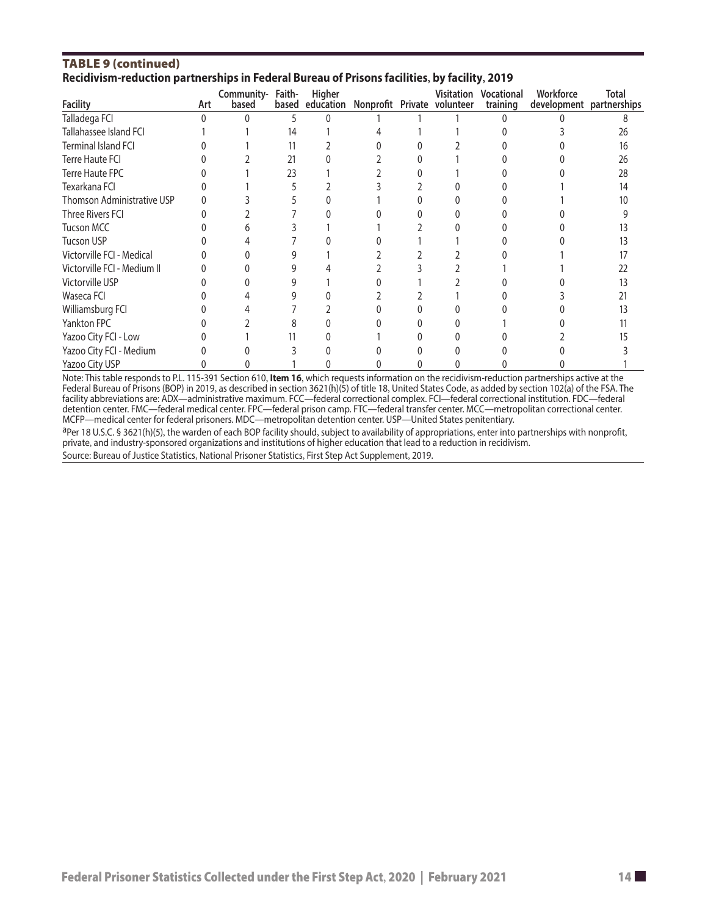#### TAble 9 (continued) **Recidivism-reduction partnerships in Federal Bureau of Prisons facilities, by facility, 2019**

| <b>Facility</b>             | Art | Community-<br>based | Faith-<br>based | Higher<br>education | Nonprofit Private volunteer |  | Visitation | <b>Vocational</b><br>training | Workforce<br>development | <b>Total</b><br>partnerships |  |
|-----------------------------|-----|---------------------|-----------------|---------------------|-----------------------------|--|------------|-------------------------------|--------------------------|------------------------------|--|
| Talladega FCI               | ∩   |                     |                 |                     |                             |  |            |                               |                          |                              |  |
| Tallahassee Island FCI      |     |                     | 14              |                     |                             |  |            |                               |                          | 26                           |  |
| <b>Terminal Island FCI</b>  |     |                     | 11              |                     |                             |  |            |                               |                          | 16                           |  |
| <b>Terre Haute FCI</b>      |     |                     | 21              |                     |                             |  |            |                               |                          | 26                           |  |
| Terre Haute FPC             |     |                     | 23              |                     |                             |  |            |                               |                          | 28                           |  |
| Texarkana FCI               |     |                     |                 |                     |                             |  |            |                               |                          | 14                           |  |
| Thomson Administrative USP  |     |                     |                 |                     |                             |  |            |                               |                          | 10                           |  |
| Three Rivers FCI            |     |                     |                 |                     |                             |  |            |                               |                          |                              |  |
| <b>Tucson MCC</b>           |     |                     |                 |                     |                             |  |            |                               |                          |                              |  |
| <b>Tucson USP</b>           |     |                     |                 |                     |                             |  |            |                               |                          |                              |  |
| Victorville FCI - Medical   |     |                     |                 |                     |                             |  |            |                               |                          |                              |  |
| Victorville FCI - Medium II |     |                     |                 |                     |                             |  |            |                               |                          | 22                           |  |
| Victorville USP             |     |                     |                 |                     |                             |  |            |                               |                          |                              |  |
| Waseca FCI                  |     |                     |                 |                     |                             |  |            |                               |                          |                              |  |
| Williamsburg FCI            |     |                     |                 |                     |                             |  |            |                               |                          |                              |  |
| Yankton FPC                 |     |                     |                 |                     |                             |  |            |                               |                          |                              |  |
| Yazoo City FCI - Low        |     |                     |                 |                     |                             |  |            |                               |                          |                              |  |
| Yazoo City FCI - Medium     |     |                     |                 |                     |                             |  |            |                               |                          |                              |  |
| Yazoo City USP              |     |                     |                 |                     |                             |  |            |                               |                          |                              |  |

Note: This table responds to P.L. 115-391 Section 610, **Item 16**, which requests information on the recidivism-reduction partnerships active at the Federal Bureau of Prisons (BOP) in 2019, as described in section 3621(h)(5) of title 18, United States Code, as added by section 102(a) of the FSA. The facility abbreviations are: ADX—administrative maximum. FCC—federal correctional complex. FCI—federal correctional institution. FDC—federal detention center. FMC—federal medical center. FPC—federal prison camp. FTC—federal transfer center. MCC—metropolitan correctional center. MCFP—medical center for federal prisoners. MDC—metropolitan detention center. USP—United States penitentiary.

aPer 18 U.S.C. § 3621(h)(5), the warden of each BOP facility should, subject to availability of appropriations, enter into partnerships with nonprofit, private, and industry-sponsored organizations and institutions of higher education that lead to a reduction in recidivism.

Source: Bureau of Justice Statistics, National Prisoner Statistics, First Step Act Supplement, 2019.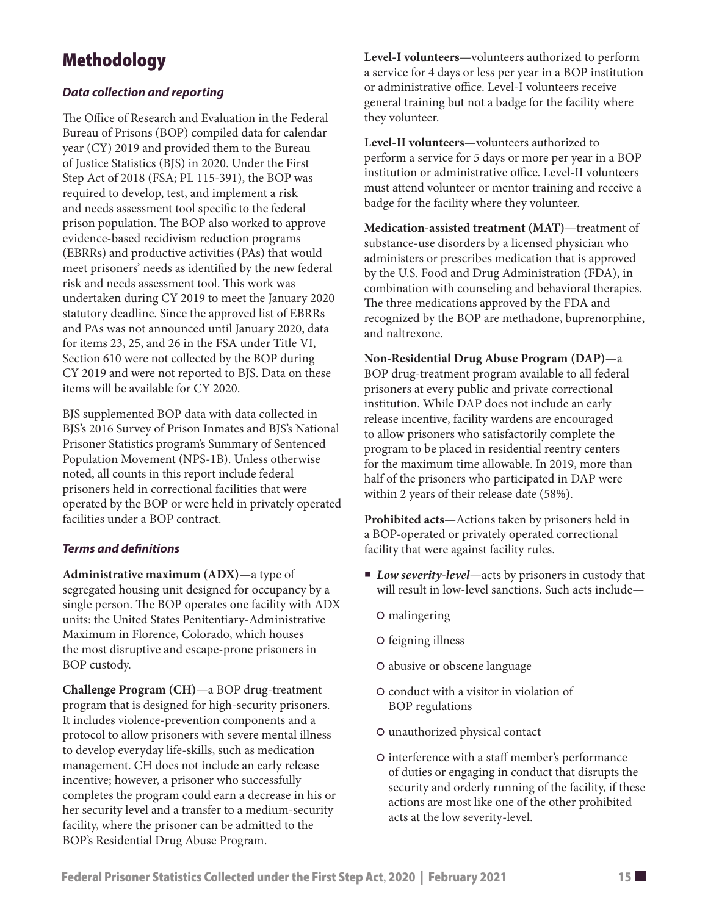# Methodology

### *Data collection and reporting*

The Office of Research and Evaluation in the Federal Bureau of Prisons (BOP) compiled data for calendar year (CY) 2019 and provided them to the Bureau of Justice Statistics (BJS) in 2020. Under the First Step Act of 2018 (FSA; PL 115-391), the BOP was required to develop, test, and implement a risk and needs assessment tool specific to the federal prison population. The BOP also worked to approve evidence-based recidivism reduction programs (EBRRs) and productive activities (PAs) that would meet prisoners' needs as identified by the new federal risk and needs assessment tool. This work was undertaken during CY 2019 to meet the January 2020 statutory deadline. Since the approved list of EBRRs and PAs was not announced until January 2020, data for items 23, 25, and 26 in the FSA under Title VI, Section 610 were not collected by the BOP during CY 2019 and were not reported to BJS. Data on these items will be available for CY 2020.

BJS supplemented BOP data with data collected in BJS's 2016 Survey of Prison Inmates and BJS's National Prisoner Statistics program's Summary of Sentenced Population Movement (NPS-1B). Unless otherwise noted, all counts in this report include federal prisoners held in correctional facilities that were operated by the BOP or were held in privately operated facilities under a BOP contract.

#### *Terms and definitions*

**Administrative maximum (ADX)**—a type of segregated housing unit designed for occupancy by a single person. The BOP operates one facility with ADX units: the United States Penitentiary-Administrative Maximum in Florence, Colorado, which houses the most disruptive and escape-prone prisoners in BOP custody.

**Challenge Program (CH)**—a BOP drug-treatment program that is designed for high-security prisoners. It includes violence-prevention components and a protocol to allow prisoners with severe mental illness to develop everyday life-skills, such as medication management. CH does not include an early release incentive; however, a prisoner who successfully completes the program could earn a decrease in his or her security level and a transfer to a medium-security facility, where the prisoner can be admitted to the BOP's Residential Drug Abuse Program.

**Level-I volunteers**—volunteers authorized to perform a service for 4 days or less per year in a BOP institution or administrative office. Level-I volunteers receive general training but not a badge for the facility where they volunteer.

**Level-II volunteers**—volunteers authorized to perform a service for 5 days or more per year in a BOP institution or administrative office. Level-II volunteers must attend volunteer or mentor training and receive a badge for the facility where they volunteer.

**Medication-assisted treatment (MAT)**—treatment of substance-use disorders by a licensed physician who administers or prescribes medication that is approved by the U.S. Food and Drug Administration (FDA), in combination with counseling and behavioral therapies. The three medications approved by the FDA and recognized by the BOP are methadone, buprenorphine, and naltrexone.

**Non-Residential Drug Abuse Program (DAP)**—a BOP drug-treatment program available to all federal prisoners at every public and private correctional institution. While DAP does not include an early release incentive, facility wardens are encouraged to allow prisoners who satisfactorily complete the program to be placed in residential reentry centers for the maximum time allowable. In 2019, more than half of the prisoners who participated in DAP were within 2 years of their release date (58%).

**Prohibited acts**—Actions taken by prisoners held in a BOP-operated or privately operated correctional facility that were against facility rules.

- *Low severity-level*—acts by prisoners in custody that will result in low-level sanctions. Such acts include—
	- | malingering
	- O feigning illness
	- | abusive or obscene language
	- | conduct with a visitor in violation of BOP regulations
	- | unauthorized physical contact
	- | interference with a staff member's performance of duties or engaging in conduct that disrupts the security and orderly running of the facility, if these actions are most like one of the other prohibited acts at the low severity-level.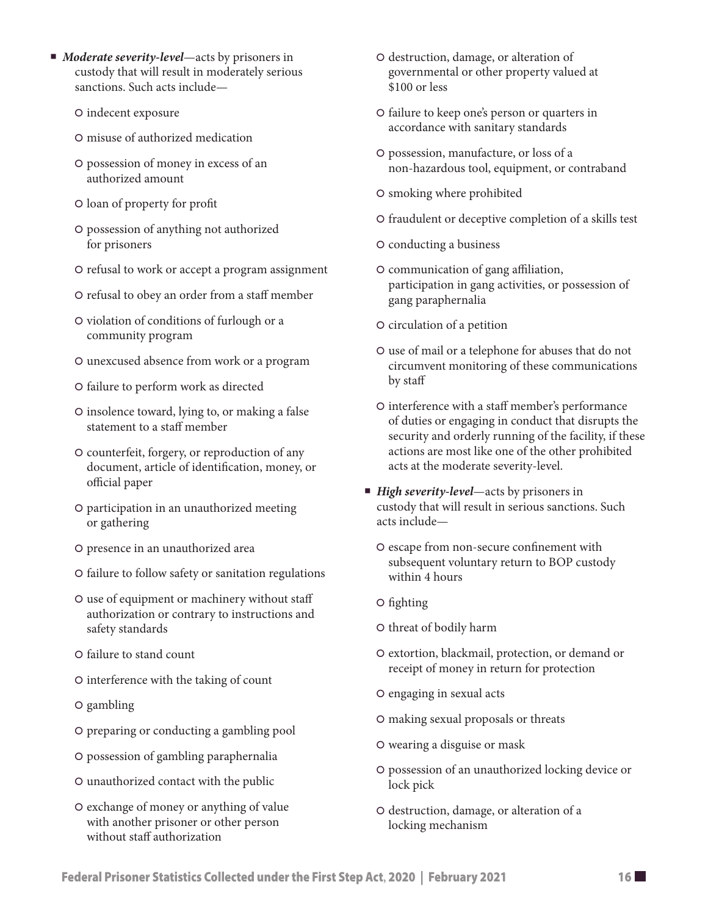- *Moderate severity-level*—acts by prisoners in custody that will result in moderately serious sanctions. Such acts include—
	- | indecent exposure
	- | misuse of authorized medication
	- | possession of money in excess of an authorized amount
	- | loan of property for profit
	- | possession of anything not authorized for prisoners
	- | refusal to work or accept a program assignment
	- | refusal to obey an order from a staff member
	- | violation of conditions of furlough or a community program
	- | unexcused absence from work or a program
	- | failure to perform work as directed
	- | insolence toward, lying to, or making a false statement to a staff member
	- | counterfeit, forgery, or reproduction of any document, article of identification, money, or official paper
	- | participation in an unauthorized meeting or gathering
	- | presence in an unauthorized area
	- | failure to follow safety or sanitation regulations
	- | use of equipment or machinery without staff authorization or contrary to instructions and safety standards
	- | failure to stand count
	- | interference with the taking of count
	- | gambling
	- | preparing or conducting a gambling pool
	- | possession of gambling paraphernalia
	- | unauthorized contact with the public
	- | exchange of money or anything of value with another prisoner or other person without staff authorization
- | destruction, damage, or alteration of governmental or other property valued at \$100 or less
- | failure to keep one's person or quarters in accordance with sanitary standards
- | possession, manufacture, or loss of a non-hazardous tool, equipment, or contraband
- O smoking where prohibited
- | fraudulent or deceptive completion of a skills test
- | conducting a business
- | communication of gang affiliation, participation in gang activities, or possession of gang paraphernalia
- O circulation of a petition
- | use of mail or a telephone for abuses that do not circumvent monitoring of these communications by staff
- | interference with a staff member's performance of duties or engaging in conduct that disrupts the security and orderly running of the facility, if these actions are most like one of the other prohibited acts at the moderate severity-level.
- *High severity-level*—acts by prisoners in custody that will result in serious sanctions. Such acts include—
	- O escape from non-secure confinement with subsequent voluntary return to BOP custody within 4 hours
	- | fighting
	- O threat of bodily harm
	- | extortion, blackmail, protection, or demand or receipt of money in return for protection
	- O engaging in sexual acts
	- | making sexual proposals or threats
	- | wearing a disguise or mask
	- | possession of an unauthorized locking device or lock pick
	- | destruction, damage, or alteration of a locking mechanism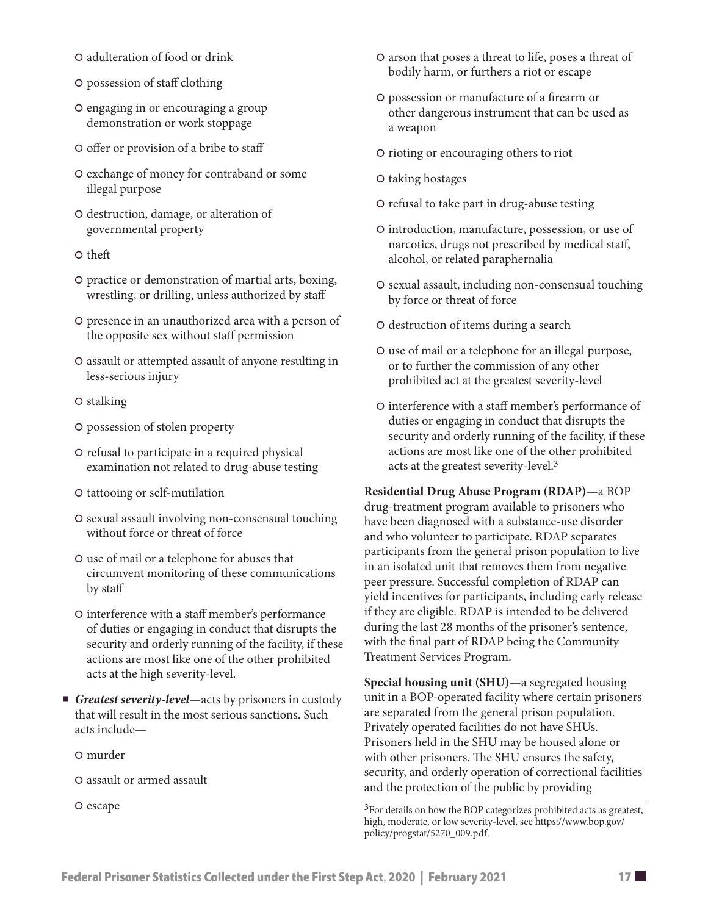- | adulteration of food or drink
- | possession of staff clothing
- O engaging in or encouraging a group demonstration or work stoppage
- | offer or provision of a bribe to staff
- | exchange of money for contraband or some illegal purpose
- | destruction, damage, or alteration of governmental property
- O theft
- | practice or demonstration of martial arts, boxing, wrestling, or drilling, unless authorized by staff
- | presence in an unauthorized area with a person of the opposite sex without staff permission
- O assault or attempted assault of anyone resulting in less-serious injury
- O stalking
- | possession of stolen property
- | refusal to participate in a required physical examination not related to drug-abuse testing
- | tattooing or self-mutilation
- O sexual assault involving non-consensual touching without force or threat of force
- | use of mail or a telephone for abuses that circumvent monitoring of these communications by staff
- O interference with a staff member's performance of duties or engaging in conduct that disrupts the security and orderly running of the facility, if these actions are most like one of the other prohibited acts at the high severity-level.
- *Greatest severity-level*—acts by prisoners in custody that will result in the most serious sanctions. Such acts include—
	- | murder
	- | assault or armed assault
	- O escape
- O arson that poses a threat to life, poses a threat of bodily harm, or furthers a riot or escape
- | possession or manufacture of a firearm or other dangerous instrument that can be used as a weapon
- | rioting or encouraging others to riot
- | taking hostages
- O refusal to take part in drug-abuse testing
- | introduction, manufacture, possession, or use of narcotics, drugs not prescribed by medical staff, alcohol, or related paraphernalia
- O sexual assault, including non-consensual touching by force or threat of force
- | destruction of items during a search
- | use of mail or a telephone for an illegal purpose, or to further the commission of any other prohibited act at the greatest severity-level
- O interference with a staff member's performance of duties or engaging in conduct that disrupts the security and orderly running of the facility, if these actions are most like one of the other prohibited acts at the greatest severity-level.3

**Residential Drug Abuse Program (RDAP)**—a BOP drug-treatment program available to prisoners who have been diagnosed with a substance-use disorder and who volunteer to participate. RDAP separates participants from the general prison population to live in an isolated unit that removes them from negative peer pressure. Successful completion of RDAP can yield incentives for participants, including early release if they are eligible. RDAP is intended to be delivered during the last 28 months of the prisoner's sentence, with the final part of RDAP being the Community Treatment Services Program.

**Special housing unit (SHU)**—a segregated housing unit in a BOP-operated facility where certain prisoners are separated from the general prison population. Privately operated facilities do not have SHUs. Prisoners held in the SHU may be housed alone or with other prisoners. The SHU ensures the safety, security, and orderly operation of correctional facilities and the protection of the public by providing

<sup>3</sup>For details on how the BOP categorizes prohibited acts as greatest, high, moderate, or low severity-level, see [https://www.bop.gov/](https://www.bop.gov/policy/progstat/5270_009.pdf) [policy/progstat/5270\\_009.pdf](https://www.bop.gov/policy/progstat/5270_009.pdf).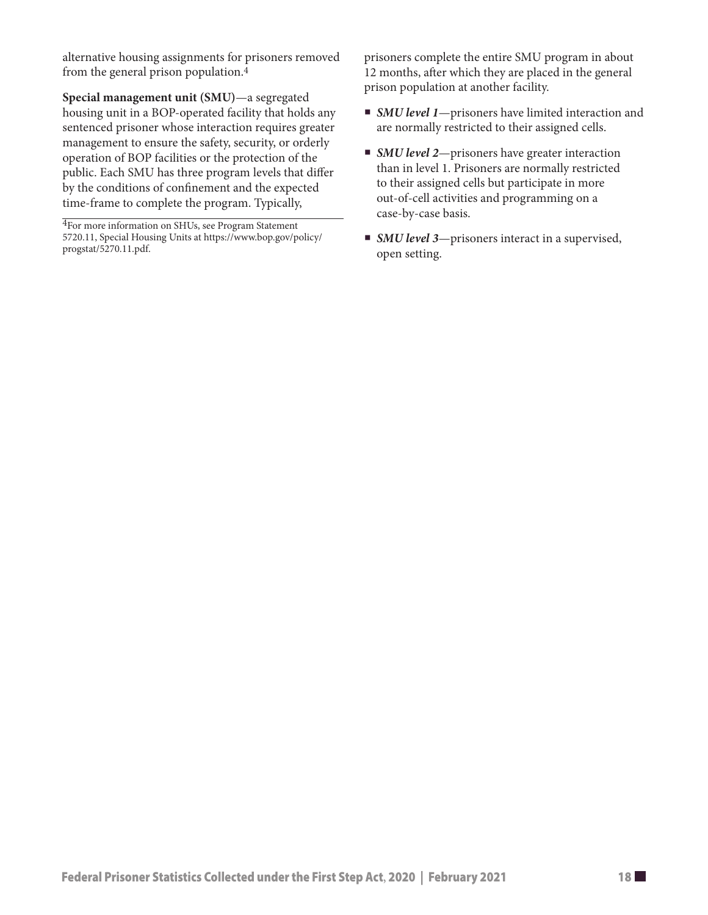alternative housing assignments for prisoners removed from the general prison population.4

**Special management unit (SMU)**—a segregated housing unit in a BOP-operated facility that holds any sentenced prisoner whose interaction requires greater management to ensure the safety, security, or orderly operation of BOP facilities or the protection of the public. Each SMU has three program levels that differ by the conditions of confinement and the expected time-frame to complete the program. Typically,

4For more information on SHUs, see Program Statement 5720.11, Special Housing Units at [https://www.bop.gov/policy/](https://www.bop.gov/policy/progstat/5270.11.pdf) [progstat/5270.11.pdf](https://www.bop.gov/policy/progstat/5270.11.pdf).

prisoners complete the entire SMU program in about 12 months, after which they are placed in the general prison population at another facility.

- *SMU level 1*—prisoners have limited interaction and are normally restricted to their assigned cells.
- *SMU level 2*—prisoners have greater interaction than in level 1. Prisoners are normally restricted to their assigned cells but participate in more out-of-cell activities and programming on a case-by-case basis.
- *SMU level* 3—prisoners interact in a supervised, open setting.